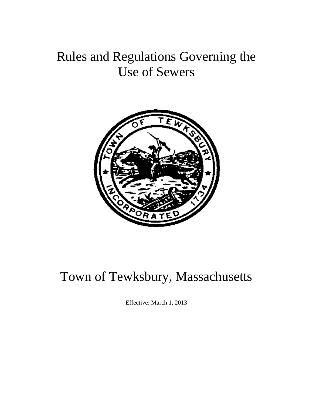# Rules and Regulations Governing the Use of Sewers



# Town of Tewksbury, Massachusetts

Effective: March 1, 2013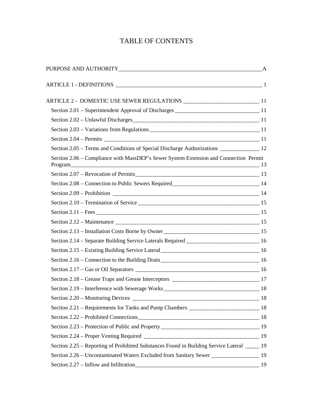# TABLE OF CONTENTS

| Section 2.05 – Terms and Conditions of Special Discharge Authorizations ________________ 12      |    |
|--------------------------------------------------------------------------------------------------|----|
| Section 2.06 – Compliance with MassDEP's Sewer System Extension and Connection Permit            |    |
|                                                                                                  |    |
|                                                                                                  |    |
|                                                                                                  |    |
|                                                                                                  |    |
|                                                                                                  |    |
|                                                                                                  |    |
|                                                                                                  |    |
| Section 2.14 - Separate Building Service Laterals Required __________________________________ 16 |    |
|                                                                                                  |    |
|                                                                                                  |    |
|                                                                                                  |    |
|                                                                                                  |    |
|                                                                                                  |    |
|                                                                                                  |    |
|                                                                                                  |    |
|                                                                                                  |    |
|                                                                                                  |    |
|                                                                                                  |    |
| Section 2.25 – Reporting of Prohibited Substances Found in Building Service Lateral _____ 19     |    |
| Section 2.26 – Uncontaminated Waters Excluded from Sanitary Sewer ___________________ 19         |    |
|                                                                                                  | 19 |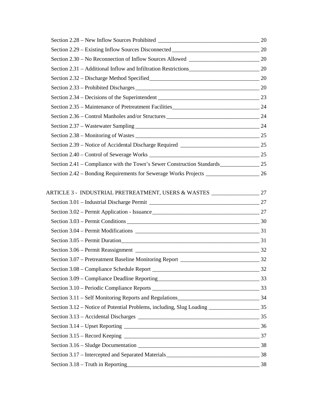| Section 2.41 – Compliance with the Town's Sewer Construction Standards 25                                                                                                                                                      |  |
|--------------------------------------------------------------------------------------------------------------------------------------------------------------------------------------------------------------------------------|--|
| Section 2.42 – Bonding Requirements for Sewerage Works Projects 26                                                                                                                                                             |  |
|                                                                                                                                                                                                                                |  |
|                                                                                                                                                                                                                                |  |
|                                                                                                                                                                                                                                |  |
|                                                                                                                                                                                                                                |  |
|                                                                                                                                                                                                                                |  |
|                                                                                                                                                                                                                                |  |
| Section 3.05 – Permit Duration 3.05 – 1.2 and 2.05 – 1.2 and 2.05 million 3.05 – 1.2 and 2.05 million 3.05 – 1.2 and 2.05 million 3.05 – 1.2 and 2.05 million 3.05 – 1.2 and 2.05 million 3.05 – 1.2 and 2.05 million 3.05 – 1 |  |
|                                                                                                                                                                                                                                |  |
|                                                                                                                                                                                                                                |  |
|                                                                                                                                                                                                                                |  |
|                                                                                                                                                                                                                                |  |
|                                                                                                                                                                                                                                |  |
|                                                                                                                                                                                                                                |  |
|                                                                                                                                                                                                                                |  |
|                                                                                                                                                                                                                                |  |
|                                                                                                                                                                                                                                |  |
|                                                                                                                                                                                                                                |  |
|                                                                                                                                                                                                                                |  |
|                                                                                                                                                                                                                                |  |
|                                                                                                                                                                                                                                |  |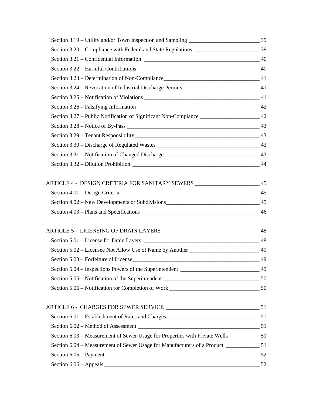| Section 3.27 – Public Notification of Significant Non-Compiance _______________________ 42 |  |
|--------------------------------------------------------------------------------------------|--|
|                                                                                            |  |
|                                                                                            |  |
|                                                                                            |  |
|                                                                                            |  |
|                                                                                            |  |
| ARTICLE 4 - DESIGN CRITERIA FOR SANITARY SEWERS ________________________ 45                |  |
|                                                                                            |  |
|                                                                                            |  |
|                                                                                            |  |
|                                                                                            |  |
|                                                                                            |  |
| Section 5.02 – Licensee Not Allow Use of Name by Another _________________________ 49      |  |
| Section 5.03 – Forfeiture of License                                                       |  |
|                                                                                            |  |
|                                                                                            |  |
|                                                                                            |  |
|                                                                                            |  |
|                                                                                            |  |
|                                                                                            |  |
|                                                                                            |  |
|                                                                                            |  |
|                                                                                            |  |
|                                                                                            |  |
|                                                                                            |  |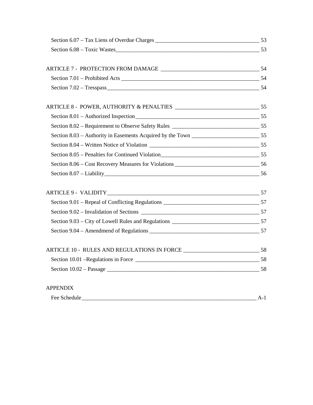| Section 6.08 – Toxic Wastes                                                       |  |
|-----------------------------------------------------------------------------------|--|
|                                                                                   |  |
|                                                                                   |  |
|                                                                                   |  |
|                                                                                   |  |
| ARTICLE 8 - POWER, AUTHORITY & PENALTIES ___________________________________55    |  |
|                                                                                   |  |
|                                                                                   |  |
|                                                                                   |  |
|                                                                                   |  |
|                                                                                   |  |
|                                                                                   |  |
| Section 8.07 - Liability 56                                                       |  |
|                                                                                   |  |
|                                                                                   |  |
|                                                                                   |  |
|                                                                                   |  |
|                                                                                   |  |
| ARTICLE 10 - RULES AND REGULATIONS IN FORCE ___________________________________58 |  |
|                                                                                   |  |
|                                                                                   |  |
|                                                                                   |  |
| <b>APPENDIX</b>                                                                   |  |

| Fee:<br>$\sim$<br>$\sim$ Schedule |  |
|-----------------------------------|--|
|-----------------------------------|--|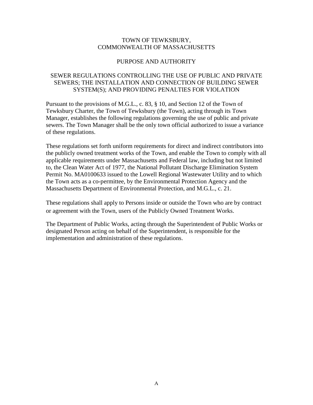# TOWN OF TEWKSBURY, COMMONWEALTH OF MASSACHUSETTS

# PURPOSE AND AUTHORITY

# SEWER REGULATIONS CONTROLLING THE USE OF PUBLIC AND PRIVATE SEWERS; THE INSTALLATION AND CONNECTION OF BUILDING SEWER SYSTEM(S); AND PROVIDING PENALTIES FOR VIOLATION

Pursuant to the provisions of M.G.L., c. 83, § 10, and Section 12 of the Town of Tewksbury Charter, the Town of Tewksbury (the Town), acting through its Town Manager, establishes the following regulations governing the use of public and private sewers. The Town Manager shall be the only town official authorized to issue a variance of these regulations.

These regulations set forth uniform requirements for direct and indirect contributors into the publicly owned treatment works of the Town, and enable the Town to comply with all applicable requirements under Massachusetts and Federal law, including but not limited to, the Clean Water Act of 1977, the National Pollutant Discharge Elimination System Permit No. MA0100633 issued to the Lowell Regional Wastewater Utility and to which the Town acts as a co-permittee, by the Environmental Protection Agency and the Massachusetts Department of Environmental Protection, and M.G.L., c. 21.

These regulations shall apply to Persons inside or outside the Town who are by contract or agreement with the Town, users of the Publicly Owned Treatment Works.

The Department of Public Works, acting through the Superintendent of Public Works or designated Person acting on behalf of the Superintendent, is responsible for the implementation and administration of these regulations.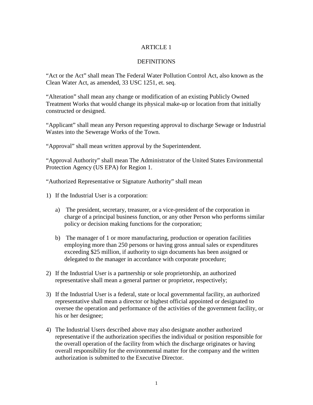# ARTICLE 1

# **DEFINITIONS**

"Act or the Act" shall mean The Federal Water Pollution Control Act, also known as the Clean Water Act, as amended, 33 USC 1251, et. seq.

"Alteration" shall mean any change or modification of an existing Publicly Owned Treatment Works that would change its physical make-up or location from that initially constructed or designed.

"Applicant" shall mean any Person requesting approval to discharge Sewage or Industrial Wastes into the Sewerage Works of the Town.

"Approval" shall mean written approval by the Superintendent.

"Approval Authority" shall mean The Administrator of the United States Environmental Protection Agency (US EPA) for Region 1.

"Authorized Representative or Signature Authority" shall mean

- 1) If the Industrial User is a corporation:
	- a) The president, secretary, treasurer, or a vice-president of the corporation in charge of a principal business function, or any other Person who performs similar policy or decision making functions for the corporation;
	- b) The manager of 1 or more manufacturing, production or operation facilities employing more than 250 persons or having gross annual sales or expenditures exceeding \$25 million, if authority to sign documents has been assigned or delegated to the manager in accordance with corporate procedure;
- 2) If the Industrial User is a partnership or sole proprietorship, an authorized representative shall mean a general partner or proprietor, respectively;
- 3) If the Industrial User is a federal, state or local governmental facility, an authorized representative shall mean a director or highest official appointed or designated to oversee the operation and performance of the activities of the government facility, or his or her designee;
- 4) The Industrial Users described above may also designate another authorized representative if the authorization specifies the individual or position responsible for the overall operation of the facility from which the discharge originates or having overall responsibility for the environmental matter for the company and the written authorization is submitted to the Executive Director.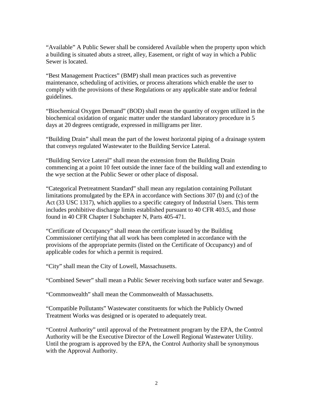"Available" A Public Sewer shall be considered Available when the property upon which a building is situated abuts a street, alley, Easement, or right of way in which a Public Sewer is located.

"Best Management Practices" (BMP) shall mean practices such as preventive maintenance, scheduling of activities, or process alterations which enable the user to comply with the provisions of these Regulations or any applicable state and/or federal guidelines.

"Biochemical Oxygen Demand" (BOD) shall mean the quantity of oxygen utilized in the biochemical oxidation of organic matter under the standard laboratory procedure in 5 days at 20 degrees centigrade, expressed in milligrams per liter.

"Building Drain" shall mean the part of the lowest horizontal piping of a drainage system that conveys regulated Wastewater to the Building Service Lateral.

"Building Service Lateral" shall mean the extension from the Building Drain commencing at a point 10 feet outside the inner face of the building wall and extending to the wye section at the Public Sewer or other place of disposal.

"Categorical Pretreatment Standard" shall mean any regulation containing Pollutant limitations promulgated by the EPA in accordance with Sections 307 (b) and (c) of the Act (33 USC 1317), which applies to a specific category of Industrial Users. This term includes prohibitive discharge limits established pursuant to 40 CFR 403.5, and those found in 40 CFR Chapter I Subchapter N, Parts 405-471.

"Certificate of Occupancy" shall mean the certificate issued by the Building Commissioner certifying that all work has been completed in accordance with the provisions of the appropriate permits (listed on the Certificate of Occupancy) and of applicable codes for which a permit is required.

"City" shall mean the City of Lowell, Massachusetts.

"Combined Sewer" shall mean a Public Sewer receiving both surface water and Sewage.

"Commonwealth" shall mean the Commonwealth of Massachusetts.

"Compatible Pollutants" Wastewater constituents for which the Publicly Owned Treatment Works was designed or is operated to adequately treat.

"Control Authority" until approval of the Pretreatment program by the EPA, the Control Authority will be the Executive Director of the Lowell Regional Wastewater Utility. Until the program is approved by the EPA, the Control Authority shall be synonymous with the Approval Authority.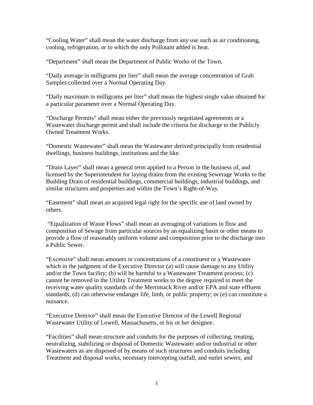"Cooling Water" shall mean the water discharge from any use such as air conditioning, cooling, refrigeration, or to which the only Pollutant added is heat.

"Department" shall mean the Department of Public Works of the Town.

"Daily average in milligrams per liter" shall mean the average concentration of Grab Samples collected over a Normal Operating Day.

"Daily maximum in milligrams per liter" shall mean the highest single value obtained for a particular parameter over a Normal Operating Day.

"Discharge Permits" shall mean either the previously negotiated agreements or a Wastewater discharge permit and shall include the criteria for discharge to the Publicly Owned Treatment Works.

"Domestic Wastewater" shall mean the Wastewater derived principally from residential dwellings, business buildings, institutions and the like.

"Drain Layer" shall mean a general term applied to a Person in the business of, and licensed by the Superintendent for laying drains from the existing Sewerage Works to the Building Drain of residential buildings, commercial buildings, industrial buildings, and similar structures and properties and within the Town's Right-of-Way.

"Easement" shall mean an acquired legal right for the specific use of land owned by others.

"Equalization of Waste Flows" shall mean an averaging of variations in flow and composition of Sewage from particular sources by an equalizing basin or other means to provide a flow of reasonably uniform volume and composition prior to the discharge into a Public Sewer.

"Excessive" shall mean amounts or concentrations of a constituent or a Wastewater which in the judgment of the Executive Director (a) will cause damage to any Utility and/or the Town facility; (b) will be harmful to a Wastewater Treatment process; (c) cannot be removed in the Utility Treatment works to the degree required to meet the receiving water quality standards of the Merrimack River and/or EPA and state effluent standards; (d) can otherwise endanger life, limb, or public property; or (e) can constitute a nuisance.

"Executive Director" shall mean the Executive Director of the Lowell Regional Wastewater Utility of Lowell, Massachusetts, or his or her designee.

"Facilities" shall mean structure and conduits for the purposes of collecting, treating, neutralizing, stabilizing or disposal of Domestic Wastewater and/or industrial or other Wastewaters as are disposed of by means of such structures and conduits including Treatment and disposal works, necessary intercepting outfall, and outlet sewers, and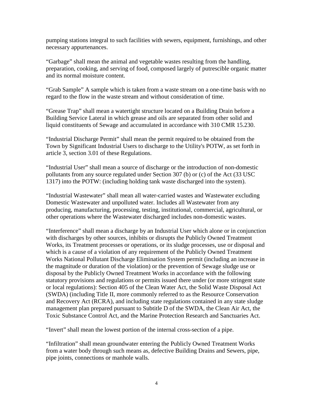pumping stations integral to such facilities with sewers, equipment, furnishings, and other necessary appurtenances.

"Garbage" shall mean the animal and vegetable wastes resulting from the handling, preparation, cooking, and serving of food, composed largely of putrescible organic matter and its normal moisture content.

"Grab Sample" A sample which is taken from a waste stream on a one-time basis with no regard to the flow in the waste stream and without consideration of time.

"Grease Trap" shall mean a watertight structure located on a Building Drain before a Building Service Lateral in which grease and oils are separated from other solid and liquid constituents of Sewage and accumulated in accordance with 310 CMR 15.230.

"Industrial Discharge Permit" shall mean the permit required to be obtained from the Town by Significant Industrial Users to discharge to the Utility's POTW, as set forth in article 3, section 3.01 of these Regulations.

"Industrial User" shall mean a source of discharge or the introduction of non-domestic pollutants from any source regulated under Section 307 (b) or (c) of the Act (33 USC 1317) into the POTW: (including holding tank waste discharged into the system).

"Industrial Wastewater" shall mean all water-carried wastes and Wastewater excluding Domestic Wastewater and unpolluted water. Includes all Wastewater from any producing, manufacturing, processing, testing, institutional, commercial, agricultural, or other operations where the Wastewater discharged includes non-domestic wastes.

"Interference" shall mean a discharge by an Industrial User which alone or in conjunction with discharges by other sources, inhibits or disrupts the Publicly Owned Treatment Works, its Treatment processes or operations, or its sludge processes, use or disposal and which is a cause of a violation of any requirement of the Publicly Owned Treatment Works National Pollutant Discharge Elimination System permit (including an increase in the magnitude or duration of the violation) or the prevention of Sewage sludge use or disposal by the Publicly Owned Treatment Works in accordance with the following statutory provisions and regulations or permits issued there under (or more stringent state or local regulations): Section 405 of the Clean Water Act, the Solid Waste Disposal Act (SWDA) (including Title II, more commonly referred to as the Resource Conservation and Recovery Act (RCRA), and including state regulations contained in any state sludge management plan prepared pursuant to Subtitle D of the SWDA, the Clean Air Act, the Toxic Substance Control Act, and the Marine Protection Research and Sanctuaries Act.

"Invert" shall mean the lowest portion of the internal cross-section of a pipe.

"Infiltration" shall mean groundwater entering the Publicly Owned Treatment Works from a water body through such means as, defective Building Drains and Sewers, pipe, pipe joints, connections or manhole walls.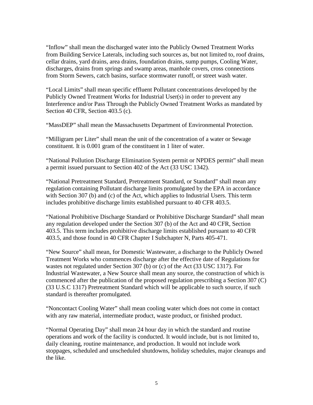"Inflow" shall mean the discharged water into the Publicly Owned Treatment Works from Building Service Laterals, including such sources as, but not limited to, roof drains, cellar drains, yard drains, area drains, foundation drains, sump pumps, Cooling Water, discharges, drains from springs and swamp areas, manhole covers, cross connections from Storm Sewers, catch basins, surface stormwater runoff, or street wash water.

"Local Limits" shall mean specific effluent Pollutant concentrations developed by the Publicly Owned Treatment Works for Industrial User(s) in order to prevent any Interference and/or Pass Through the Publicly Owned Treatment Works as mandated by Section 40 CFR, Section 403.5 (c).

"MassDEP" shall mean the Massachusetts Department of Environmental Protection.

"Milligram per Liter" shall mean the unit of the concentration of a water or Sewage constituent. It is 0.001 gram of the constituent in 1 liter of water.

"National Pollution Discharge Elimination System permit or NPDES permit" shall mean a permit issued pursuant to Section 402 of the Act (33 USC 1342).

"National Pretreatment Standard, Pretreatment Standard, or Standard" shall mean any regulation containing Pollutant discharge limits promulgated by the EPA in accordance with Section 307 (b) and (c) of the Act, which applies to Industrial Users. This term includes prohibitive discharge limits established pursuant to 40 CFR 403.5.

"National Prohibitive Discharge Standard or Prohibitive Discharge Standard" shall mean any regulation developed under the Section 307 (b) of the Act and 40 CFR, Section 403.5. This term includes prohibitive discharge limits established pursuant to 40 CFR 403.5, and those found in 40 CFR Chapter I Subchapter N, Parts 405-471.

"New Source" shall mean, for Domestic Wastewater, a discharge to the Publicly Owned Treatment Works who commences discharge after the effective date of Regulations for wastes not regulated under Section 307 (b) or (c) of the Act (33 USC 1317). For Industrial Wastewater, a New Source shall mean any source, the construction of which is commenced after the publication of the proposed regulation prescribing a Section 307 (C) (33 U.S.C 1317) Pretreatment Standard which will be applicable to such source, if such standard is thereafter promulgated.

"Noncontact Cooling Water" shall mean cooling water which does not come in contact with any raw material, intermediate product, waste product, or finished product.

"Normal Operating Day" shall mean 24 hour day in which the standard and routine operations and work of the facility is conducted. It would include, but is not limited to, daily cleaning, routine maintenance, and production. It would not include work stoppages, scheduled and unscheduled shutdowns, holiday schedules, major cleanups and the like.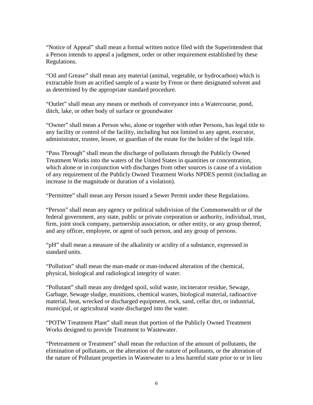"Notice of Appeal" shall mean a formal written notice filed with the Superintendent that a Person intends to appeal a judgment, order or other requirement established by these Regulations.

"Oil and Grease" shall mean any material (animal, vegetable, or hydrocarbon) which is extractable from an acrified sample of a waste by Freon or there designated solvent and as determined by the appropriate standard procedure.

"Outlet" shall mean any means or methods of conveyance into a Watercourse, pond, ditch, lake, or other body of surface or groundwater

"Owner" shall mean a Person who, alone or together with other Persons, has legal title to any facility or control of the facility, including but not limited to any agent, executor, administrator, trustee, lessee, or guardian of the estate for the holder of the legal title.

"Pass Through" shall mean the discharge of pollutants through the Publicly Owned Treatment Works into the waters of the United States in quantities or concentration, which alone or in conjunction with discharges from other sources is cause of a violation of any requirement of the Publicly Owned Treatment Works NPDES permit (including an increase in the magnitude or duration of a violation).

"Permittee" shall mean any Person issued a Sewer Permit under these Regulations.

"Person" shall mean any agency or political subdivision of the Commonwealth or of the federal government, any state, public or private corporation or authority, individual, trust, firm, joint stock company, partnership association, or other entity, or any group thereof, and any officer, employee, or agent of such person, and any group of persons.

"pH" shall mean a measure of the alkalinity or acidity of a substance, expressed in standard units.

"Pollution" shall mean the man-made or man-induced alteration of the chemical, physical, biological and radiological integrity of water.

"Pollutant" shall mean any dredged spoil, solid waste, incinerator residue, Sewage, Garbage, Sewage sludge, munitions, chemical wastes, biological material, radioactive material, heat, wrecked or discharged equipment, rock, sand, cellar dirt, or industrial, municipal, or agricultural waste discharged into the water.

"POTW Treatment Plant" shall mean that portion of the Publicly Owned Treatment Works designed to provide Treatment to Wastewater.

"Pretreatment or Treatment" shall mean the reduction of the amount of pollutants, the elimination of pollutants, or the alteration of the nature of pollutants, or the alteration of the nature of Pollutant properties in Wastewater to a less harmful state prior to or in lieu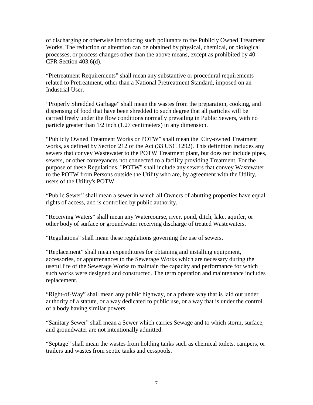of discharging or otherwise introducing such pollutants to the Publicly Owned Treatment Works. The reduction or alteration can be obtained by physical, chemical, or biological processes, or process changes other than the above means, except as prohibited by 40 CFR Section 403.6(d).

"Pretreatment Requirements" shall mean any substantive or procedural requirements related to Pretreatment, other than a National Pretreatment Standard, imposed on an Industrial User.

"Properly Shredded Garbage" shall mean the wastes from the preparation, cooking, and dispensing of food that have been shredded to such degree that all particles will be carried freely under the flow conditions normally prevailing in Public Sewers, with no particle greater than 1/2 inch (1.27 centimeters) in any dimension.

"Publicly Owned Treatment Works or POTW" shall mean the City-owned Treatment works, as defined by Section 212 of the Act (33 USC 1292). This definition includes any sewers that convey Wastewater to the POTW Treatment plant, but does not include pipes, sewers, or other conveyances not connected to a facility providing Treatment. For the purpose of these Regulations, "POTW" shall include any sewers that convey Wastewater to the POTW from Persons outside the Utility who are, by agreement with the Utility, users of the Utility's POTW.

"Public Sewer" shall mean a sewer in which all Owners of abutting properties have equal rights of access, and is controlled by public authority.

"Receiving Waters" shall mean any Watercourse, river, pond, ditch, lake, aquifer, or other body of surface or groundwater receiving discharge of treated Wastewaters.

"Regulations" shall mean these regulations governing the use of sewers.

"Replacement" shall mean expenditures for obtaining and installing equipment, accessories, or appurtenances to the Sewerage Works which are necessary during the useful life of the Sewerage Works to maintain the capacity and performance for which such works were designed and constructed. The term operation and maintenance includes replacement.

"Right-of-Way" shall mean any public highway, or a private way that is laid out under authority of a statute, or a way dedicated to public use, or a way that is under the control of a body having similar powers.

"Sanitary Sewer" shall mean a Sewer which carries Sewage and to which storm, surface, and groundwater are not intentionally admitted.

"Septage" shall mean the wastes from holding tanks such as chemical toilets, campers, or trailers and wastes from septic tanks and cesspools.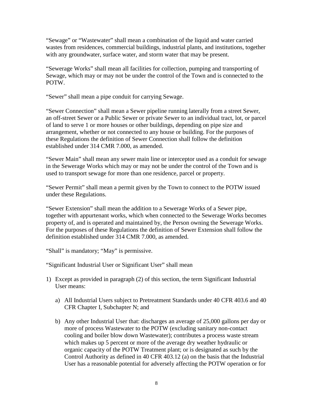"Sewage" or "Wastewater" shall mean a combination of the liquid and water carried wastes from residences, commercial buildings, industrial plants, and institutions, together with any groundwater, surface water, and storm water that may be present.

"Sewerage Works" shall mean all facilities for collection, pumping and transporting of Sewage, which may or may not be under the control of the Town and is connected to the POTW.

"Sewer" shall mean a pipe conduit for carrying Sewage.

"Sewer Connection" shall mean a Sewer pipeline running laterally from a street Sewer, an off-street Sewer or a Public Sewer or private Sewer to an individual tract, lot, or parcel of land to serve 1 or more houses or other buildings, depending on pipe size and arrangement, whether or not connected to any house or building. For the purposes of these Regulations the definition of Sewer Connection shall follow the definition established under 314 CMR 7.000, as amended.

"Sewer Main" shall mean any sewer main line or interceptor used as a conduit for sewage in the Sewerage Works which may or may not be under the control of the Town and is used to transport sewage for more than one residence, parcel or property.

"Sewer Permit" shall mean a permit given by the Town to connect to the POTW issued under these Regulations.

"Sewer Extension" shall mean the addition to a Sewerage Works of a Sewer pipe, together with appurtenant works, which when connected to the Sewerage Works becomes property of, and is operated and maintained by, the Person owning the Sewerage Works. For the purposes of these Regulations the definition of Sewer Extension shall follow the definition established under 314 CMR 7.000, as amended.

"Shall" is mandatory; "May" is permissive.

"Significant Industrial User or Significant User" shall mean

- 1) Except as provided in paragraph (2) of this section, the term Significant Industrial User means:
	- a) All Industrial Users subject to Pretreatment Standards under 40 CFR 403.6 and 40 CFR Chapter I, Subchapter N; and
	- b) Any other Industrial User that: discharges an average of 25,000 gallons per day or more of process Wastewater to the POTW (excluding sanitary non-contact cooling and boiler blow down Wastewater); contributes a process waste stream which makes up 5 percent or more of the average dry weather hydraulic or organic capacity of the POTW Treatment plant; or is designated as such by the Control Authority as defined in 40 CFR 403.12 (a) on the basis that the Industrial User has a reasonable potential for adversely affecting the POTW operation or for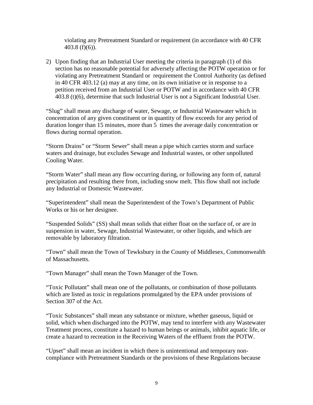violating any Pretreatment Standard or requirement (in accordance with 40 CFR 403.8 (f)(6)).

2) Upon finding that an Industrial User meeting the criteria in paragraph (1) of this section has no reasonable potential for adversely affecting the POTW operation or for violating any Pretreatment Standard or requirement the Control Authority (as defined in 40 CFR 403.12 (a) may at any time, on its own initiative or in response to a petition received from an Industrial User or POTW and in accordance with 40 CFR 403.8 (t)(6), determine that such Industrial User is not a Significant Industrial User.

"Slug" shall mean any discharge of water, Sewage, or Industrial Wastewater which in concentration of any given constituent or in quantity of flow exceeds for any period of duration longer than 15 minutes, more than 5 times the average daily concentration or flows during normal operation.

"Storm Drains" or "Storm Sewer" shall mean a pipe which carries storm and surface waters and drainage, but excludes Sewage and Industrial wastes, or other unpolluted Cooling Water.

"Storm Water" shall mean any flow occurring during, or following any form of, natural precipitation and resulting there from, including snow melt. This flow shall not include any Industrial or Domestic Wastewater.

"Superintendent" shall mean the Superintendent of the Town's Department of Public Works or his or her designee.

"Suspended Solids" (SS) shall mean solids that either float on the surface of, or are in suspension in water, Sewage, Industrial Wastewater, or other liquids, and which are removable by laboratory filtration.

"Town" shall mean the Town of Tewksbury in the County of Middlesex, Commonwealth of Massachusetts.

"Town Manager" shall mean the Town Manager of the Town.

"Toxic Pollutant" shall mean one of the pollutants, or combination of those pollutants which are listed as toxic in regulations promulgated by the EPA under provisions of Section 307 of the Act.

"Toxic Substances" shall mean any substance or mixture, whether gaseous, liquid or solid, which when discharged into the POTW, may tend to interfere with any Wastewater Treatment process, constitute a hazard to human beings or animals, inhibit aquatic life, or create a hazard to recreation in the Receiving Waters of the effluent from the POTW.

"Upset" shall mean an incident in which there is unintentional and temporary noncompliance with Pretreatment Standards or the provisions of these Regulations because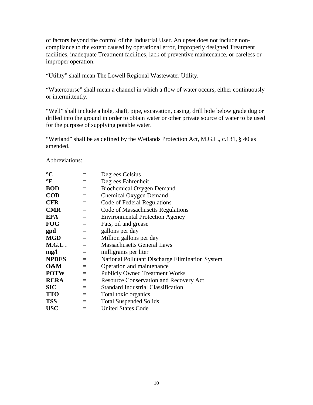of factors beyond the control of the Industrial User. An upset does not include noncompliance to the extent caused by operational error, improperly designed Treatment facilities, inadequate Treatment facilities, lack of preventive maintenance, or careless or improper operation.

"Utility" shall mean The Lowell Regional Wastewater Utility.

"Watercourse" shall mean a channel in which a flow of water occurs, either continuously or intermittently.

"Well" shall include a hole, shaft, pipe, excavation, casing, drill hole below grade dug or drilled into the ground in order to obtain water or other private source of water to be used for the purpose of supplying potable water.

"Wetland" shall be as defined by the Wetlands Protection Act, M.G.L., c.131, § 40 as amended.

Abbreviations:

| $\rm ^{\circ}C$ | =                       | Degrees Celsius                                 |
|-----------------|-------------------------|-------------------------------------------------|
| $\mathbf{F}$    |                         | Degrees Fahrenheit                              |
| <b>BOD</b>      | $=$                     | <b>Biochemical Oxygen Demand</b>                |
| <b>COD</b>      | $=$                     | <b>Chemical Oxygen Demand</b>                   |
| <b>CFR</b>      | $=$                     | Code of Federal Regulations                     |
| <b>CMR</b>      | $=$                     | Code of Massachusetts Regulations               |
| <b>EPA</b>      | $=$                     | <b>Environmental Protection Agency</b>          |
| <b>FOG</b>      | $\qquad \qquad =\qquad$ | Fats, oil and grease                            |
| gpd             | $=$                     | gallons per day                                 |
| <b>MGD</b>      | $=$                     | Million gallons per day                         |
| M.G.L.          | $=$                     | <b>Massachusetts General Laws</b>               |
| mg/l            | $=$                     | milligrams per liter                            |
| <b>NPDES</b>    | $=$                     | National Pollutant Discharge Elimination System |
| O&M             | $=$                     | Operation and maintenance                       |
| <b>POTW</b>     | $\equiv$                | <b>Publicly Owned Treatment Works</b>           |
| <b>RCRA</b>     | $=$                     | <b>Resource Conservation and Recovery Act</b>   |
| <b>SIC</b>      | $=$                     | <b>Standard Industrial Classification</b>       |
| <b>TTO</b>      | $=$                     | Total toxic organics                            |
| <b>TSS</b>      | $=$                     | <b>Total Suspended Solids</b>                   |
| <b>USC</b>      | $=$                     | <b>United States Code</b>                       |
|                 |                         |                                                 |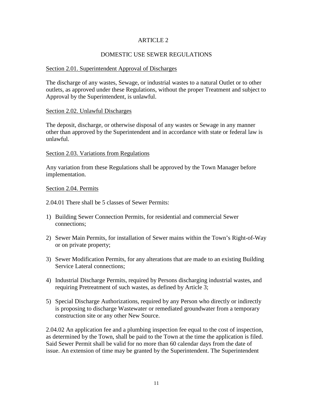#### ARTICLE 2

# DOMESTIC USE SEWER REGULATIONS

#### Section 2.01. Superintendent Approval of Discharges

The discharge of any wastes, Sewage, or industrial wastes to a natural Outlet or to other outlets, as approved under these Regulations, without the proper Treatment and subject to Approval by the Superintendent, is unlawful.

#### Section 2.02. Unlawful Discharges

The deposit, discharge, or otherwise disposal of any wastes or Sewage in any manner other than approved by the Superintendent and in accordance with state or federal law is unlawful.

#### Section 2.03. Variations from Regulations

Any variation from these Regulations shall be approved by the Town Manager before implementation.

#### Section 2.04. Permits

2.04.01 There shall be 5 classes of Sewer Permits:

- 1) Building Sewer Connection Permits, for residential and commercial Sewer connections;
- 2) Sewer Main Permits, for installation of Sewer mains within the Town's Right-of-Way or on private property;
- 3) Sewer Modification Permits, for any alterations that are made to an existing Building Service Lateral connections;
- 4) Industrial Discharge Permits, required by Persons discharging industrial wastes, and requiring Pretreatment of such wastes, as defined by Article 3;
- 5) Special Discharge Authorizations, required by any Person who directly or indirectly is proposing to discharge Wastewater or remediated groundwater from a temporary construction site or any other New Source.

2.04.02 An application fee and a plumbing inspection fee equal to the cost of inspection, as determined by the Town, shall be paid to the Town at the time the application is filed. Said Sewer Permit shall be valid for no more than 60 calendar days from the date of issue. An extension of time may be granted by the Superintendent. The Superintendent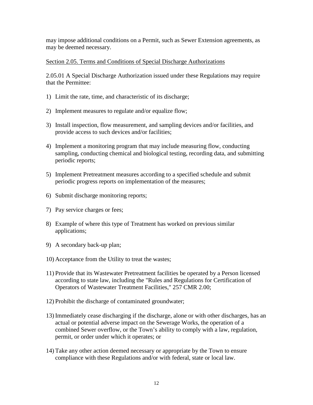may impose additional conditions on a Permit, such as Sewer Extension agreements, as may be deemed necessary.

## Section 2.05. Terms and Conditions of Special Discharge Authorizations

2.05.01 A Special Discharge Authorization issued under these Regulations may require that the Permittee:

- 1) Limit the rate, time, and characteristic of its discharge;
- 2) Implement measures to regulate and/or equalize flow;
- 3) Install inspection, flow measurement, and sampling devices and/or facilities, and provide access to such devices and/or facilities;
- 4) Implement a monitoring program that may include measuring flow, conducting sampling, conducting chemical and biological testing, recording data, and submitting periodic reports;
- 5) Implement Pretreatment measures according to a specified schedule and submit periodic progress reports on implementation of the measures;
- 6) Submit discharge monitoring reports;
- 7) Pay service charges or fees;
- 8) Example of where this type of Treatment has worked on previous similar applications;
- 9) A secondary back-up plan;
- 10) Acceptance from the Utility to treat the wastes;
- 11) Provide that its Wastewater Pretreatment facilities be operated by a Person licensed according to state law, including the "Rules and Regulations for Certification of Operators of Wastewater Treatment Facilities," 257 CMR 2.00;
- 12) Prohibit the discharge of contaminated groundwater;
- 13) Immediately cease discharging if the discharge, alone or with other discharges, has an actual or potential adverse impact on the Sewerage Works, the operation of a combined Sewer overflow, or the Town's ability to comply with a law, regulation, permit, or order under which it operates; or
- 14) Take any other action deemed necessary or appropriate by the Town to ensure compliance with these Regulations and/or with federal, state or local law.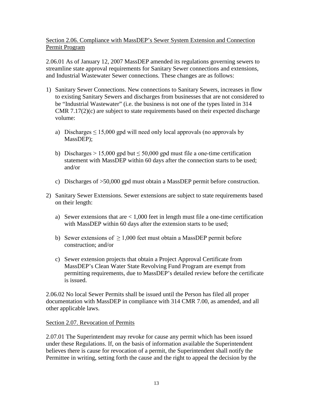# Section 2.06. Compliance with MassDEP's Sewer System Extension and Connection Permit Program

2.06.01 As of January 12, 2007 MassDEP amended its regulations governing sewers to streamline state approval requirements for Sanitary Sewer connections and extensions, and Industrial Wastewater Sewer connections. These changes are as follows:

- 1) Sanitary Sewer Connections. New connections to Sanitary Sewers, increases in flow to existing Sanitary Sewers and discharges from businesses that are not considered to be "Industrial Wastewater" (i.e. the business is not one of the types listed in 314 CMR 7.17(2)(c) are subject to state requirements based on their expected discharge volume:
	- a) Discharges  $\leq 15,000$  gpd will need only local approvals (no approvals by MassDEP);
	- b) Discharges > 15,000 gpd but  $\leq 50,000$  gpd must file a one-time certification statement with MassDEP within 60 days after the connection starts to be used; and/or
	- c) Discharges of >50,000 gpd must obtain a MassDEP permit before construction.
- 2) Sanitary Sewer Extensions. Sewer extensions are subject to state requirements based on their length:
	- a) Sewer extensions that are  $< 1,000$  feet in length must file a one-time certification with MassDEP within 60 days after the extension starts to be used;
	- b) Sewer extensions of  $\geq 1,000$  feet must obtain a MassDEP permit before construction; and/or
	- c) Sewer extension projects that obtain a Project Approval Certificate from MassDEP's Clean Water State Revolving Fund Program are exempt from permitting requirements, due to MassDEP's detailed review before the certificate is issued.

2.06.02 No local Sewer Permits shall be issued until the Person has filed all proper documentation with MassDEP in compliance with 314 CMR 7.00, as amended, and all other applicable laws.

# Section 2.07. Revocation of Permits

2.07.01 The Superintendent may revoke for cause any permit which has been issued under these Regulations. If, on the basis of information available the Superintendent believes there is cause for revocation of a permit, the Superintendent shall notify the Permittee in writing, setting forth the cause and the right to appeal the decision by the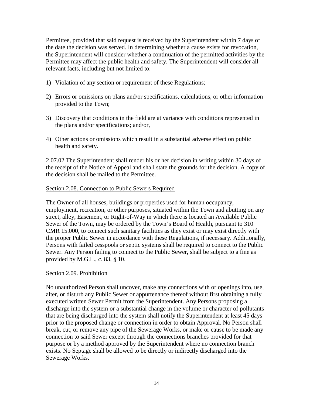Permittee, provided that said request is received by the Superintendent within 7 days of the date the decision was served. In determining whether a cause exists for revocation, the Superintendent will consider whether a continuation of the permitted activities by the Permittee may affect the public health and safety. The Superintendent will consider all relevant facts, including but not limited to:

- 1) Violation of any section or requirement of these Regulations;
- 2) Errors or omissions on plans and/or specifications, calculations, or other information provided to the Town;
- 3) Discovery that conditions in the field are at variance with conditions represented in the plans and/or specifications; and/or,
- 4) Other actions or omissions which result in a substantial adverse effect on public health and safety.

2.07.02 The Superintendent shall render his or her decision in writing within 30 days of the receipt of the Notice of Appeal and shall state the grounds for the decision. A copy of the decision shall be mailed to the Permittee.

#### Section 2.08. Connection to Public Sewers Required

The Owner of all houses, buildings or properties used for human occupancy, employment, recreation, or other purposes, situated within the Town and abutting on any street, alley, Easement, or Right-of-Way in which there is located an Available Public Sewer of the Town, may be ordered by the Town's Board of Health, pursuant to 310 CMR 15.000, to connect such sanitary facilities as they exist or may exist directly with the proper Public Sewer in accordance with these Regulations, if necessary. Additionally, Persons with failed cesspools or septic systems shall be required to connect to the Public Sewer. Any Person failing to connect to the Public Sewer, shall be subject to a fine as provided by M.G.L., c. 83, § 10.

#### Section 2.09. Prohibition

No unauthorized Person shall uncover, make any connections with or openings into, use, alter, or disturb any Public Sewer or appurtenance thereof without first obtaining a fully executed written Sewer Permit from the Superintendent. Any Persons proposing a discharge into the system or a substantial change in the volume or character of pollutants that are being discharged into the system shall notify the Superintendent at least 45 days prior to the proposed change or connection in order to obtain Approval. No Person shall break, cut, or remove any pipe of the Sewerage Works, or make or cause to be made any connection to said Sewer except through the connections branches provided for that purpose or by a method approved by the Superintendent where no connection branch exists. No Septage shall be allowed to be directly or indirectly discharged into the Sewerage Works.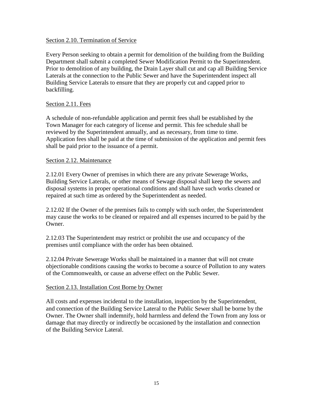#### Section 2.10. Termination of Service

Every Person seeking to obtain a permit for demolition of the building from the Building Department shall submit a completed Sewer Modification Permit to the Superintendent. Prior to demolition of any building, the Drain Layer shall cut and cap all Building Service Laterals at the connection to the Public Sewer and have the Superintendent inspect all Building Service Laterals to ensure that they are properly cut and capped prior to backfilling.

# Section 2.11. Fees

A schedule of non-refundable application and permit fees shall be established by the Town Manager for each category of license and permit. This fee schedule shall be reviewed by the Superintendent annually, and as necessary, from time to time. Application fees shall be paid at the time of submission of the application and permit fees shall be paid prior to the issuance of a permit.

#### Section 2.12. Maintenance

2.12.01 Every Owner of premises in which there are any private Sewerage Works, Building Service Laterals, or other means of Sewage disposal shall keep the sewers and disposal systems in proper operational conditions and shall have such works cleaned or repaired at such time as ordered by the Superintendent as needed.

2.12.02 If the Owner of the premises fails to comply with such order, the Superintendent may cause the works to be cleaned or repaired and all expenses incurred to be paid by the Owner.

2.12.03 The Superintendent may restrict or prohibit the use and occupancy of the premises until compliance with the order has been obtained.

2.12.04 Private Sewerage Works shall be maintained in a manner that will not create objectionable conditions causing the works to become a source of Pollution to any waters of the Commonwealth, or cause an adverse effect on the Public Sewer.

#### Section 2.13. Installation Cost Borne by Owner

All costs and expenses incidental to the installation, inspection by the Superintendent, and connection of the Building Service Lateral to the Public Sewer shall be borne by the Owner. The Owner shall indemnify, hold harmless and defend the Town from any loss or damage that may directly or indirectly be occasioned by the installation and connection of the Building Service Lateral.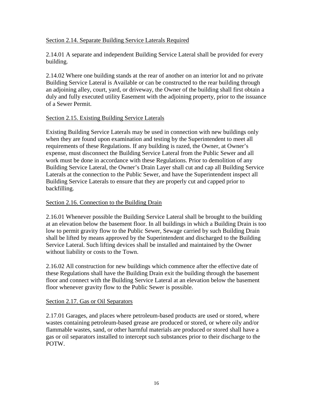# Section 2.14. Separate Building Service Laterals Required

2.14.01 A separate and independent Building Service Lateral shall be provided for every building.

2.14.02 Where one building stands at the rear of another on an interior lot and no private Building Service Lateral is Available or can be constructed to the rear building through an adjoining alley, court, yard, or driveway, the Owner of the building shall first obtain a duly and fully executed utility Easement with the adjoining property, prior to the issuance of a Sewer Permit.

# Section 2.15. Existing Building Service Laterals

Existing Building Service Laterals may be used in connection with new buildings only when they are found upon examination and testing by the Superintendent to meet all requirements of these Regulations. If any building is razed, the Owner, at Owner's expense, must disconnect the Building Service Lateral from the Public Sewer and all work must be done in accordance with these Regulations. Prior to demolition of any Building Service Lateral, the Owner's Drain Layer shall cut and cap all Building Service Laterals at the connection to the Public Sewer, and have the Superintendent inspect all Building Service Laterals to ensure that they are properly cut and capped prior to backfilling.

#### Section 2.16. Connection to the Building Drain

2.16.01 Whenever possible the Building Service Lateral shall be brought to the building at an elevation below the basement floor. In all buildings in which a Building Drain is too low to permit gravity flow to the Public Sewer, Sewage carried by such Building Drain shall be lifted by means approved by the Superintendent and discharged to the Building Service Lateral. Such lifting devices shall be installed and maintained by the Owner without liability or costs to the Town.

2.16.02 All construction for new buildings which commence after the effective date of these Regulations shall have the Building Drain exit the building through the basement floor and connect with the Building Service Lateral at an elevation below the basement floor whenever gravity flow to the Public Sewer is possible.

#### Section 2.17. Gas or Oil Separators

2.17.01 Garages, and places where petroleum-based products are used or stored, where wastes containing petroleum-based grease are produced or stored, or where oily and/or flammable wastes, sand, or other harmful materials are produced or stored shall have a gas or oil separators installed to intercept such substances prior to their discharge to the POTW.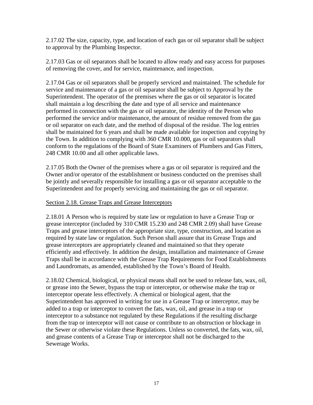2.17.02 The size, capacity, type, and location of each gas or oil separator shall be subject to approval by the Plumbing Inspector.

2.17.03 Gas or oil separators shall be located to allow ready and easy access for purposes of removing the cover, and for service, maintenance, and inspection.

2.17.04 Gas or oil separators shall be properly serviced and maintained. The schedule for service and maintenance of a gas or oil separator shall be subject to Approval by the Superintendent. The operator of the premises where the gas or oil separator is located shall maintain a log describing the date and type of all service and maintenance performed in connection with the gas or oil separator, the identity of the Person who performed the service and/or maintenance, the amount of residue removed from the gas or oil separator on each date, and the method of disposal of the residue. The log entries shall be maintained for 6 years and shall be made available for inspection and copying by the Town. In addition to complying with 360 CMR 10.000, gas or oil separators shall conform to the regulations of the Board of State Examiners of Plumbers and Gas Fitters, 248 CMR 10.00 and all other applicable laws.

2.17.05 Both the Owner of the premises where a gas or oil separator is required and the Owner and/or operator of the establishment or business conducted on the premises shall be jointly and severally responsible for installing a gas or oil separator acceptable to the Superintendent and for properly servicing and maintaining the gas or oil separator.

# Section 2.18. Grease Traps and Grease Interceptors

2.18.01 A Person who is required by state law or regulation to have a Grease Trap or grease interceptor (included by 310 CMR 15.230 and 248 CMR 2.09) shall have Grease Traps and grease interceptors of the appropriate size, type, construction, and location as required by state law or regulation. Such Person shall assure that its Grease Traps and grease interceptors are appropriately cleaned and maintained so that they operate efficiently and effectively. In addition the design, installation and maintenance of Grease Traps shall be in accordance with the Grease Trap Requirements for Food Establishments and Laundromats, as amended, established by the Town's Board of Health.

2.18.02 Chemical, biological, or physical means shall not be used to release fats, wax, oil, or grease into the Sewer, bypass the trap or interceptor, or otherwise make the trap or interceptor operate less effectively. A chemical or biological agent, that the Superintendent has approved in writing for use in a Grease Trap or interceptor, may be added to a trap or interceptor to convert the fats, wax, oil, and grease in a trap or interceptor to a substance not regulated by these Regulations if the resulting discharge from the trap or interceptor will not cause or contribute to an obstruction or blockage in the Sewer or otherwise violate these Regulations. Unless so converted, the fats, wax, oil, and grease contents of a Grease Trap or interceptor shall not be discharged to the Sewerage Works.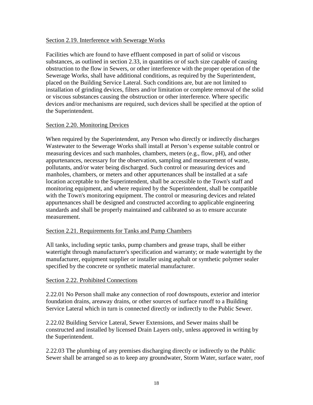#### Section 2.19. Interference with Sewerage Works

Facilities which are found to have effluent composed in part of solid or viscous substances, as outlined in section 2.33, in quantities or of such size capable of causing obstruction to the flow in Sewers, or other interference with the proper operation of the Sewerage Works, shall have additional conditions, as required by the Superintendent, placed on the Building Service Lateral. Such conditions are, but are not limited to installation of grinding devices, filters and/or limitation or complete removal of the solid or viscous substances causing the obstruction or other interference. Where specific devices and/or mechanisms are required, such devices shall be specified at the option of the Superintendent.

#### Section 2.20. Monitoring Devices

When required by the Superintendent, any Person who directly or indirectly discharges Wastewater to the Sewerage Works shall install at Person's expense suitable control or measuring devices and such manholes, chambers, meters (e.g., flow, pH), and other appurtenances, necessary for the observation, sampling and measurement of waste, pollutants, and/or water being discharged. Such control or measuring devices and manholes, chambers, or meters and other appurtenances shall be installed at a safe location acceptable to the Superintendent, shall be accessible to the Town's staff and monitoring equipment, and where required by the Superintendent, shall be compatible with the Town's monitoring equipment. The control or measuring devices and related appurtenances shall be designed and constructed according to applicable engineering standards and shall be properly maintained and calibrated so as to ensure accurate measurement.

#### Section 2.21. Requirements for Tanks and Pump Chambers

All tanks, including septic tanks, pump chambers and grease traps, shall be either watertight through manufacturer's specification and warranty; or made watertight by the manufacturer, equipment supplier or installer using asphalt or synthetic polymer sealer specified by the concrete or synthetic material manufacturer.

#### Section 2.22. Prohibited Connections

2.22.01 No Person shall make any connection of roof downspouts, exterior and interior foundation drains, areaway drains, or other sources of surface runoff to a Building Service Lateral which in turn is connected directly or indirectly to the Public Sewer.

2.22.02 Building Service Lateral, Sewer Extensions, and Sewer mains shall be constructed and installed by licensed Drain Layers only, unless approved in writing by the Superintendent.

2.22.03 The plumbing of any premises discharging directly or indirectly to the Public Sewer shall be arranged so as to keep any groundwater, Storm Water, surface water, roof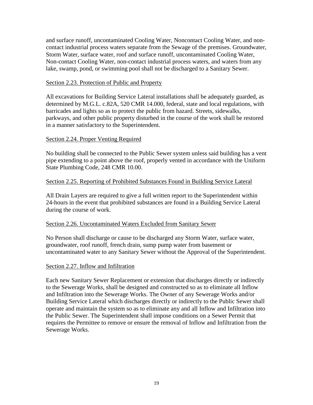and surface runoff, uncontaminated Cooling Water, Noncontact Cooling Water, and noncontact industrial process waters separate from the Sewage of the premises. Groundwater, Storm Water, surface water, roof and surface runoff, uncontaminated Cooling Water, Non-contact Cooling Water, non-contact industrial process waters, and waters from any lake, swamp, pond, or swimming pool shall not be discharged to a Sanitary Sewer.

## Section 2.23. Protection of Public and Property

All excavations for Building Service Lateral installations shall be adequately guarded, as determined by M.G.L. c.82A, 520 CMR 14.000, federal, state and local regulations, with barricades and lights so as to protect the public from hazard. Streets, sidewalks, parkways, and other public property disturbed in the course of the work shall be restored in a manner satisfactory to the Superintendent.

# Section 2.24. Proper Venting Required

No building shall be connected to the Public Sewer system unless said building has a vent pipe extending to a point above the roof, properly vented in accordance with the Uniform State Plumbing Code, 248 CMR 10.00.

# Section 2.25. Reporting of Prohibited Substances Found in Building Service Lateral

All Drain Layers are required to give a full written report to the Superintendent within 24-hours in the event that prohibited substances are found in a Building Service Lateral during the course of work.

#### Section 2.26. Uncontaminated Waters Excluded from Sanitary Sewer

No Person shall discharge or cause to be discharged any Storm Water, surface water, groundwater, roof runoff, french drain, sump pump water from basement or uncontaminated water to any Sanitary Sewer without the Approval of the Superintendent.

#### Section 2.27. Inflow and Infiltration

Each new Sanitary Sewer Replacement or extension that discharges directly or indirectly to the Sewerage Works, shall be designed and constructed so as to eliminate all Inflow and Infiltration into the Sewerage Works. The Owner of any Sewerage Works and/or Building Service Lateral which discharges directly or indirectly to the Public Sewer shall operate and maintain the system so as to eliminate any and all Inflow and Infiltration into the Public Sewer. The Superintendent shall impose conditions on a Sewer Permit that requires the Permittee to remove or ensure the removal of Inflow and Infiltration from the Sewerage Works.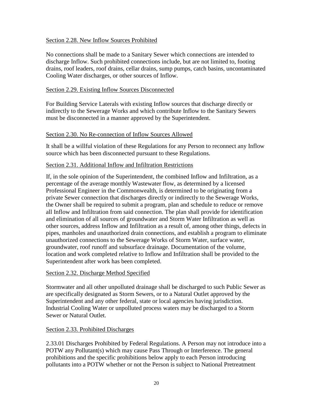#### Section 2.28. New Inflow Sources Prohibited

No connections shall be made to a Sanitary Sewer which connections are intended to discharge Inflow. Such prohibited connections include, but are not limited to, footing drains, roof leaders, roof drains, cellar drains, sump pumps, catch basins, uncontaminated Cooling Water discharges, or other sources of Inflow.

#### Section 2.29. Existing Inflow Sources Disconnected

For Building Service Laterals with existing Inflow sources that discharge directly or indirectly to the Sewerage Works and which contribute Inflow to the Sanitary Sewers must be disconnected in a manner approved by the Superintendent.

#### Section 2.30. No Re-connection of Inflow Sources Allowed

It shall be a willful violation of these Regulations for any Person to reconnect any Inflow source which has been disconnected pursuant to these Regulations.

#### Section 2.31. Additional Inflow and Infiltration Restrictions

If, in the sole opinion of the Superintendent, the combined Inflow and Infiltration, as a percentage of the average monthly Wastewater flow, as determined by a licensed Professional Engineer in the Commonwealth, is determined to be originating from a private Sewer connection that discharges directly or indirectly to the Sewerage Works, the Owner shall be required to submit a program, plan and schedule to reduce or remove all Inflow and Infiltration from said connection. The plan shall provide for identification and elimination of all sources of groundwater and Storm Water Infiltration as well as other sources, address Inflow and Infiltration as a result of, among other things, defects in pipes, manholes and unauthorized drain connections, and establish a program to eliminate unauthorized connections to the Sewerage Works of Storm Water, surface water, groundwater, roof runoff and subsurface drainage. Documentation of the volume, location and work completed relative to Inflow and Infiltration shall be provided to the Superintendent after work has been completed.

#### Section 2.32. Discharge Method Specified

Stormwater and all other unpolluted drainage shall be discharged to such Public Sewer as are specifically designated as Storm Sewers, or to a Natural Outlet approved by the Superintendent and any other federal, state or local agencies having jurisdiction. Industrial Cooling Water or unpolluted process waters may be discharged to a Storm Sewer or Natural Outlet.

#### Section 2.33. Prohibited Discharges

2.33.01 Discharges Prohibited by Federal Regulations. A Person may not introduce into a POTW any Pollutant(s) which may cause Pass Through or Interference. The general prohibitions and the specific prohibitions below apply to each Person introducing pollutants into a POTW whether or not the Person is subject to National Pretreatment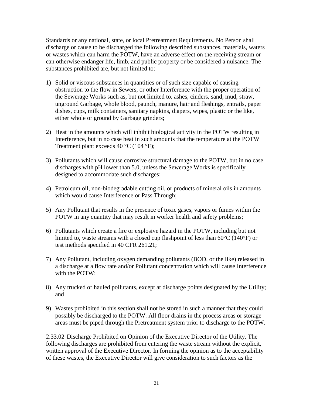Standards or any national, state, or local Pretreatment Requirements. No Person shall discharge or cause to be discharged the following described substances, materials, waters or wastes which can harm the POTW, have an adverse effect on the receiving stream or can otherwise endanger life, limb, and public property or be considered a nuisance. The substances prohibited are, but not limited to:

- 1) Solid or viscous substances in quantities or of such size capable of causing obstruction to the flow in Sewers, or other Interference with the proper operation of the Sewerage Works such as, but not limited to, ashes, cinders, sand, mud, straw, unground Garbage, whole blood, paunch, manure, hair and fleshings, entrails, paper dishes, cups, milk containers, sanitary napkins, diapers, wipes, plastic or the like, either whole or ground by Garbage grinders;
- 2) Heat in the amounts which will inhibit biological activity in the POTW resulting in Interference, but in no case heat in such amounts that the temperature at the POTW Treatment plant exceeds  $40^{\circ}$ C (104  $^{\circ}$ F);
- 3) Pollutants which will cause corrosive structural damage to the POTW, but in no case discharges with pH lower than 5.0, unless the Sewerage Works is specifically designed to accommodate such discharges;
- 4) Petroleum oil, non-biodegradable cutting oil, or products of mineral oils in amounts which would cause Interference or Pass Through;
- 5) Any Pollutant that results in the presence of toxic gases, vapors or fumes within the POTW in any quantity that may result in worker health and safety problems;
- 6) Pollutants which create a fire or explosive hazard in the POTW, including but not limited to, waste streams with a closed cup flashpoint of less than 60°C (140°F) or test methods specified in 40 CFR 261.21;
- 7) Any Pollutant, including oxygen demanding pollutants (BOD, or the like) released in a discharge at a flow rate and/or Pollutant concentration which will cause Interference with the POTW;
- 8) Any trucked or hauled pollutants, except at discharge points designated by the Utility; and
- 9) Wastes prohibited in this section shall not be stored in such a manner that they could possibly be discharged to the POTW. All floor drains in the process areas or storage areas must be piped through the Pretreatment system prior to discharge to the POTW.

2.33.02 Discharge Prohibited on Opinion of the Executive Director of the Utility. The following discharges are prohibited from entering the waste stream without the explicit, written approval of the Executive Director. In forming the opinion as to the acceptability of these wastes, the Executive Director will give consideration to such factors as the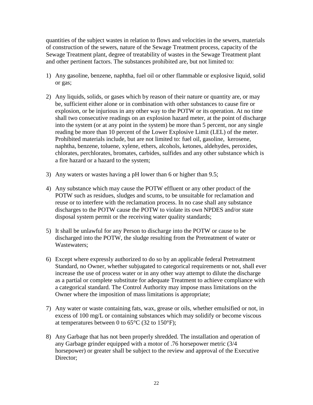quantities of the subject wastes in relation to flows and velocities in the sewers, materials of construction of the sewers, nature of the Sewage Treatment process, capacity of the Sewage Treatment plant, degree of treatability of wastes in the Sewage Treatment plant and other pertinent factors. The substances prohibited are, but not limited to:

- 1) Any gasoline, benzene, naphtha, fuel oil or other flammable or explosive liquid, solid or gas;
- 2) Any liquids, solids, or gases which by reason of their nature or quantity are, or may be, sufficient either alone or in combination with other substances to cause fire or explosion, or be injurious in any other way to the POTW or its operation. At no time shall two consecutive readings on an explosion hazard meter, at the point of discharge into the system (or at any point in the system) be more than 5 percent, nor any single reading be more than 10 percent of the Lower Explosive Limit (LEL) of the meter. Prohibited materials include, but are not limited to: fuel oil, gasoline, kerosene, naphtha, benzene, toluene, xylene, ethers, alcohols, ketones, aldehydes, peroxides, chlorates, perchlorates, bromates, carbides, sulfides and any other substance which is a fire hazard or a hazard to the system;
- 3) Any waters or wastes having a pH lower than 6 or higher than 9.5;
- 4) Any substance which may cause the POTW effluent or any other product of the POTW such as residues, sludges and scums, to be unsuitable for reclamation and reuse or to interfere with the reclamation process. In no case shall any substance discharges to the POTW cause the POTW to violate its own NPDES and/or state disposal system permit or the receiving water quality standards;
- 5) It shall be unlawful for any Person to discharge into the POTW or cause to be discharged into the POTW, the sludge resulting from the Pretreatment of water or Wastewaters;
- 6) Except where expressly authorized to do so by an applicable federal Pretreatment Standard, no Owner, whether subjugated to categorical requirements or not, shall ever increase the use of process water or in any other way attempt to dilute the discharge as a partial or complete substitute for adequate Treatment to achieve compliance with a categorical standard. The Control Authority may impose mass limitations on the Owner where the imposition of mass limitations is appropriate;
- 7) Any water or waste containing fats, wax, grease or oils, whether emulsified or not, in excess of 100 mg/L or containing substances which may solidify or become viscous at temperatures between 0 to  $65^{\circ}$ C (32 to 150 $^{\circ}$ F);
- 8) Any Garbage that has not been properly shredded. The installation and operation of any Garbage grinder equipped with a motor of .76 horsepower metric (3/4 horsepower) or greater shall be subject to the review and approval of the Executive Director;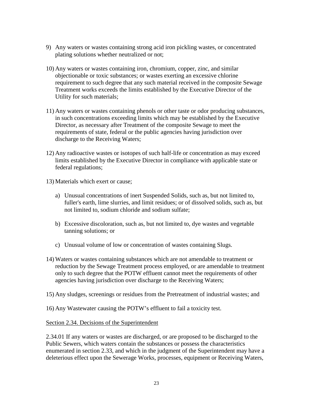- 9) Any waters or wastes containing strong acid iron pickling wastes, or concentrated plating solutions whether neutralized or not;
- 10) Any waters or wastes containing iron, chromium, copper, zinc, and similar objectionable or toxic substances; or wastes exerting an excessive chlorine requirement to such degree that any such material received in the composite Sewage Treatment works exceeds the limits established by the Executive Director of the Utility for such materials;
- 11) Any waters or wastes containing phenols or other taste or odor producing substances, in such concentrations exceeding limits which may be established by the Executive Director, as necessary after Treatment of the composite Sewage to meet the requirements of state, federal or the public agencies having jurisdiction over discharge to the Receiving Waters;
- 12) Any radioactive wastes or isotopes of such half-life or concentration as may exceed limits established by the Executive Director in compliance with applicable state or federal regulations;
- 13) Materials which exert or cause;
	- a) Unusual concentrations of inert Suspended Solids, such as, but not limited to, fuller's earth, lime slurries, and limit residues; or of dissolved solids, such as, but not limited to, sodium chloride and sodium sulfate;
	- b) Excessive discoloration, such as, but not limited to, dye wastes and vegetable tanning solutions; or
	- c) Unusual volume of low or concentration of wastes containing Slugs.
- 14) Waters or wastes containing substances which are not amendable to treatment or reduction by the Sewage Treatment process employed, or are amendable to treatment only to such degree that the POTW effluent cannot meet the requirements of other agencies having jurisdiction over discharge to the Receiving Waters;
- 15) Any sludges, screenings or residues from the Pretreatment of industrial wastes; and

16) Any Wastewater causing the POTW's effluent to fail a toxicity test.

#### Section 2.34. Decisions of the Superintendent

2.34.01 If any waters or wastes are discharged, or are proposed to be discharged to the Public Sewers, which waters contain the substances or possess the characteristics enumerated in section 2.33, and which in the judgment of the Superintendent may have a deleterious effect upon the Sewerage Works, processes, equipment or Receiving Waters,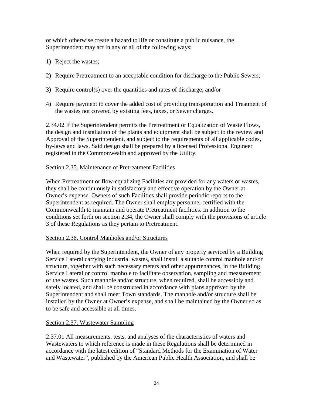or which otherwise create a hazard to life or constitute a public nuisance, the Superintendent may act in any or all of the following ways;

- 1) Reject the wastes;
- 2) Require Pretreatment to an acceptable condition for discharge to the Public Sewers;
- 3) Require control(s) over the quantities and rates of discharge; and/or
- 4) Require payment to cover the added cost of providing transportation and Treatment of the wastes not covered by existing fees, taxes, or Sewer charges.

2.34.02 If the Superintendent permits the Pretreatment or Equalization of Waste Flows, the design and installation of the plants and equipment shall be subject to the review and Approval of the Superintendent, and subject to the requirements of all applicable codes, by-laws and laws. Said design shall be prepared by a licensed Professional Engineer registered in the Commonwealth and approved by the Utility.

# Section 2.35. Maintenance of Pretreatment Facilities

When Pretreatment or flow-equalizing Facilities are provided for any waters or wastes, they shall be continuously in satisfactory and effective operation by the Owner at Owner's expense. Owners of such Facilities shall provide periodic reports to the Superintendent as required. The Owner shall employ personnel certified with the Commonwealth to maintain and operate Pretreatment facilities. In addition to the conditions set forth on section 2.34, the Owner shall comply with the provisions of article 3 of these Regulations as they pertain to Pretreatment.

# Section 2.36. Control Manholes and/or Structures

When required by the Superintendent, the Owner of any property serviced by a Building Service Lateral carrying industrial wastes, shall install a suitable control manhole and/or structure, together with such necessary meters and other appurtenances, in the Building Service Lateral or control manhole to facilitate observation, sampling and measurement of the wastes. Such manhole and/or structure, when required, shall be accessibly and safely located, and shall be constructed in accordance with plans approved by the Superintendent and shall meet Town standards. The manhole and/or structure shall be installed by the Owner at Owner's expense, and shall be maintained by the Owner so as to be safe and accessible at all times.

# Section 2.37. Wastewater Sampling

2.37.01 All measurements, tests, and analyses of the characteristics of waters and Wastewaters to which reference is made in these Regulations shall be determined in accordance with the latest edition of "Standard Methods for the Examination of Water and Wastewater", published by the American Public Health Association, and shall be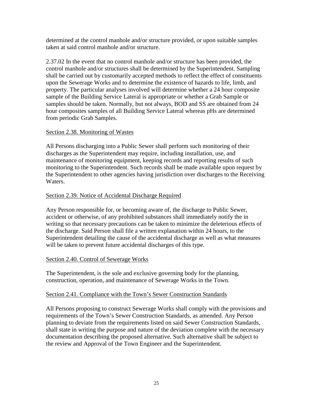determined at the control manhole and/or structure provided, or upon suitable samples taken at said control manhole and/or structure.

2.37.02 In the event that no control manhole and/or structure has been provided, the control manhole and/or structures shall be determined by the Superintendent. Sampling shall be carried out by customarily accepted methods to reflect the effect of constituents upon the Sewerage Works and to determine the existence of hazards to life, limb, and property. The particular analyses involved will determine whether a 24 hour composite sample of the Building Service Lateral is appropriate or whether a Grab Sample or samples should be taken. Normally, but not always, BOD and SS are obtained from 24 hour composites samples of all Building Service Lateral whereas pHs are determined from periodic Grab Samples.

# Section 2.38. Monitoring of Wastes

All Persons discharging into a Public Sewer shall perform such monitoring of their discharges as the Superintendent may require, including installation, use, and maintenance of monitoring equipment, keeping records and reporting results of such monitoring to the Superintendent. Such records shall be made available upon request by the Superintendent to other agencies having jurisdiction over discharges to the Receiving Waters.

# Section 2.39. Notice of Accidental Discharge Required

Any Person responsible for, or becoming aware of, the discharge to Public Sewer, accident or otherwise, of any prohibited substances shall immediately notify the in writing so that necessary precautions can be taken to minimize the deleterious effects of the discharge. Said Person shall file a written explanation within 24 hours, to the Superintendent detailing the cause of the accidental discharge as well as what measures will be taken to prevent future accidental discharges of this type.

#### Section 2.40. Control of Sewerage Works

The Superintendent, is the sole and exclusive governing body for the planning, construction, operation, and maintenance of Sewerage Works in the Town.

# Section 2.41. Compliance with the Town's Sewer Construction Standards

All Persons proposing to construct Sewerage Works shall comply with the provisions and requirements of the Town's Sewer Construction Standards, as amended. Any Person planning to deviate from the requirements listed on said Sewer Construction Standards, shall state in writing the purpose and nature of the deviation complete with the necessary documentation describing the proposed alternative. Such alternative shall be subject to the review and Approval of the Town Engineer and the Superintendent.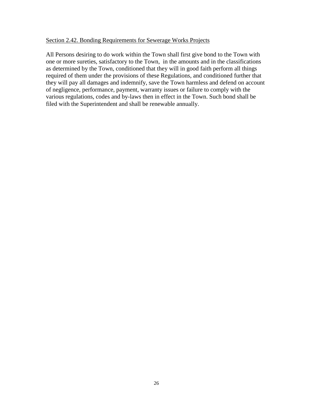#### Section 2.42. Bonding Requirements for Sewerage Works Projects

All Persons desiring to do work within the Town shall first give bond to the Town with one or more sureties, satisfactory to the Town, in the amounts and in the classifications as determined by the Town, conditioned that they will in good faith perform all things required of them under the provisions of these Regulations, and conditioned further that they will pay all damages and indemnify, save the Town harmless and defend on account of negligence, performance, payment, warranty issues or failure to comply with the various regulations, codes and by-laws then in effect in the Town. Such bond shall be filed with the Superintendent and shall be renewable annually.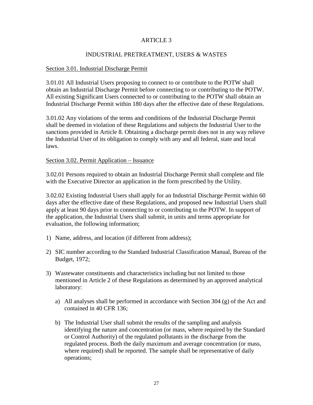# ARTICLE 3

#### INDUSTRIAL PRETREATMENT, USERS & WASTES

#### Section 3.01. Industrial Discharge Permit

3.01.01 All Industrial Users proposing to connect to or contribute to the POTW shall obtain an Industrial Discharge Permit before connecting to or contributing to the POTW. All existing Significant Users connected to or contributing to the POTW shall obtain an Industrial Discharge Permit within 180 days after the effective date of these Regulations.

3.01.02 Any violations of the terms and conditions of the Industrial Discharge Permit shall be deemed in violation of these Regulations and subjects the Industrial User to the sanctions provided in Article 8. Obtaining a discharge permit does not in any way relieve the Industrial User of its obligation to comply with any and all federal, state and local laws.

#### Section 3.02. Permit Application – Issuance

3.02.01 Persons required to obtain an Industrial Discharge Permit shall complete and file with the Executive Director an application in the form prescribed by the Utility.

3.02.02 Existing Industrial Users shall apply for an Industrial Discharge Permit within 60 days after the effective date of these Regulations, and proposed new Industrial Users shall apply at least 90 days prior to connecting to or contributing to the POTW. In support of the application, the Industrial Users shall submit, in units and terms appropriate for evaluation, the following information;

- 1) Name, address, and location (if different from address);
- 2) SIC number according to the Standard Industrial Classification Manual, Bureau of the Budget, 1972;
- 3) Wastewater constituents and characteristics including but not limited to those mentioned in Article 2 of these Regulations as determined by an approved analytical laboratory:
	- a) All analyses shall be performed in accordance with Section 304 (g) of the Act and contained in 40 CFR 136;
	- b) The Industrial User shall submit the results of the sampling and analysis identifying the nature and concentration (or mass, where required by the Standard or Control Authority) of the regulated pollutants in the discharge from the regulated process. Both the daily maximum and average concentration (or mass, where required) shall be reported. The sample shall be representative of daily operations;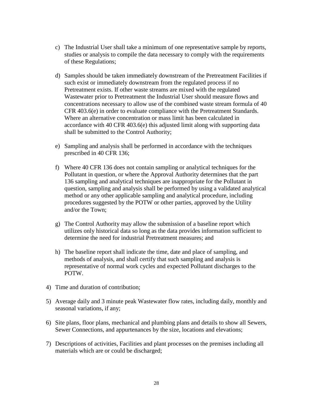- c) The Industrial User shall take a minimum of one representative sample by reports, studies or analysis to compile the data necessary to comply with the requirements of these Regulations;
- d) Samples should be taken immediately downstream of the Pretreatment Facilities if such exist or immediately downstream from the regulated process if no Pretreatment exists. If other waste streams are mixed with the regulated Wastewater prior to Pretreatment the Industrial User should measure flows and concentrations necessary to allow use of the combined waste stream formula of 40 CFR 403.6(e) in order to evaluate compliance with the Pretreatment Standards. Where an alternative concentration or mass limit has been calculated in accordance with 40 CFR 403.6(e) this adjusted limit along with supporting data shall be submitted to the Control Authority;
- e) Sampling and analysis shall be performed in accordance with the techniques prescribed in 40 CFR 136;
- f) Where 40 CFR 136 does not contain sampling or analytical techniques for the Pollutant in question, or where the Approval Authority determines that the part 136 sampling and analytical techniques are inappropriate for the Pollutant in question, sampling and analysis shall be performed by using a validated analytical method or any other applicable sampling and analytical procedure, including procedures suggested by the POTW or other parties, approved by the Utility and/or the Town;
- g) The Control Authority may allow the submission of a baseline report which utilizes only historical data so long as the data provides information sufficient to determine the need for industrial Pretreatment measures; and
- h) The baseline report shall indicate the time, date and place of sampling, and methods of analysis, and shall certify that such sampling and analysis is representative of normal work cycles and expected Pollutant discharges to the POTW.
- 4) Time and duration of contribution;
- 5) Average daily and 3 minute peak Wastewater flow rates, including daily, monthly and seasonal variations, if any;
- 6) Site plans, floor plans, mechanical and plumbing plans and details to show all Sewers, Sewer Connections, and appurtenances by the size, locations and elevations;
- 7) Descriptions of activities, Facilities and plant processes on the premises including all materials which are or could be discharged;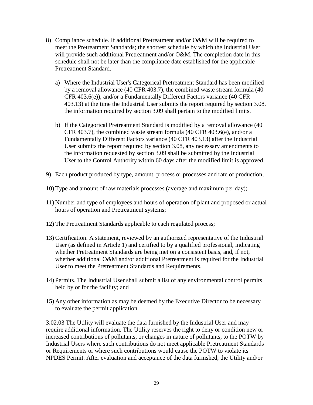- 8) Compliance schedule. If additional Pretreatment and/or O&M will be required to meet the Pretreatment Standards; the shortest schedule by which the Industrial User will provide such additional Pretreatment and/or O&M. The completion date in this schedule shall not be later than the compliance date established for the applicable Pretreatment Standard.
	- a) Where the Industrial User's Categorical Pretreatment Standard has been modified by a removal allowance (40 CFR 403.7), the combined waste stream formula (40 CFR 403.6(e)), and/or a Fundamentally Different Factors variance (40 CFR 403.13) at the time the Industrial User submits the report required by section 3.08, the information required by section 3.09 shall pertain to the modified limits.
	- b) If the Categorical Pretreatment Standard is modified by a removal allowance (40 CFR 403.7), the combined waste stream formula (40 CFR 403.6(e), and/or a Fundamentally Different Factors variance (40 CFR 403.13) after the Industrial User submits the report required by section 3.08, any necessary amendments to the information requested by section 3.09 shall be submitted by the Industrial User to the Control Authority within 60 days after the modified limit is approved.
- 9) Each product produced by type, amount, process or processes and rate of production;
- 10) Type and amount of raw materials processes (average and maximum per day);
- 11) Number and type of employees and hours of operation of plant and proposed or actual hours of operation and Pretreatment systems;
- 12) The Pretreatment Standards applicable to each regulated process;
- 13) Certification. A statement, reviewed by an authorized representative of the Industrial User (as defined in Article 1) and certified to by a qualified professional, indicating whether Pretreatment Standards are being met on a consistent basis, and, if not, whether additional O&M and/or additional Pretreatment is required for the Industrial User to meet the Pretreatment Standards and Requirements.
- 14) Permits. The Industrial User shall submit a list of any environmental control permits held by or for the facility; and
- 15) Any other information as may be deemed by the Executive Director to be necessary to evaluate the permit application.

3.02.03 The Utility will evaluate the data furnished by the Industrial User and may require additional information. The Utility reserves the right to deny or condition new or increased contributions of pollutants, or changes in nature of pollutants, to the POTW by Industrial Users where such contributions do not meet applicable Pretreatment Standards or Requirements or where such contributions would cause the POTW to violate its NPDES Permit. After evaluation and acceptance of the data furnished, the Utility and/or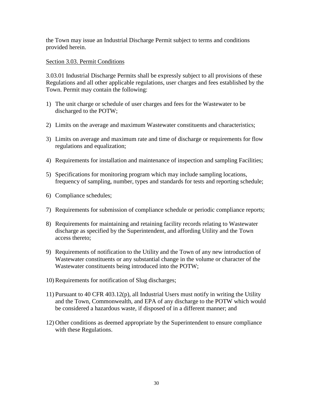the Town may issue an Industrial Discharge Permit subject to terms and conditions provided herein.

# Section 3.03. Permit Conditions

3.03.01 Industrial Discharge Permits shall be expressly subject to all provisions of these Regulations and all other applicable regulations, user charges and fees established by the Town. Permit may contain the following:

- 1) The unit charge or schedule of user charges and fees for the Wastewater to be discharged to the POTW;
- 2) Limits on the average and maximum Wastewater constituents and characteristics;
- 3) Limits on average and maximum rate and time of discharge or requirements for flow regulations and equalization;
- 4) Requirements for installation and maintenance of inspection and sampling Facilities;
- 5) Specifications for monitoring program which may include sampling locations, frequency of sampling, number, types and standards for tests and reporting schedule;
- 6) Compliance schedules;
- 7) Requirements for submission of compliance schedule or periodic compliance reports;
- 8) Requirements for maintaining and retaining facility records relating to Wastewater discharge as specified by the Superintendent, and affording Utility and the Town access thereto;
- 9) Requirements of notification to the Utility and the Town of any new introduction of Wastewater constituents or any substantial change in the volume or character of the Wastewater constituents being introduced into the POTW;
- 10) Requirements for notification of Slug discharges;
- 11) Pursuant to 40 CFR 403.12(p), all Industrial Users must notify in writing the Utility and the Town, Commonwealth, and EPA of any discharge to the POTW which would be considered a hazardous waste, if disposed of in a different manner; and
- 12) Other conditions as deemed appropriate by the Superintendent to ensure compliance with these Regulations.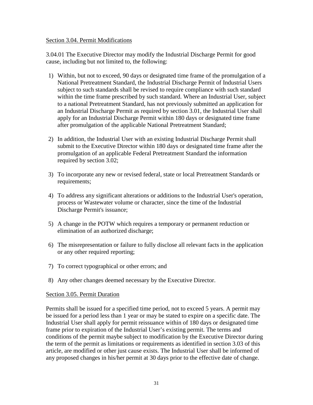#### Section 3.04. Permit Modifications

3.04.01 The Executive Director may modify the Industrial Discharge Permit for good cause, including but not limited to, the following:

- 1) Within, but not to exceed, 90 days or designated time frame of the promulgation of a National Pretreatment Standard, the Industrial Discharge Permit of Industrial Users subject to such standards shall be revised to require compliance with such standard within the time frame prescribed by such standard. Where an Industrial User, subject to a national Pretreatment Standard, has not previously submitted an application for an Industrial Discharge Permit as required by section 3.01, the Industrial User shall apply for an Industrial Discharge Permit within 180 days or designated time frame after promulgation of the applicable National Pretreatment Standard;
- 2) In addition, the Industrial User with an existing Industrial Discharge Permit shall submit to the Executive Director within 180 days or designated time frame after the promulgation of an applicable Federal Pretreatment Standard the information required by section 3.02;
- 3) To incorporate any new or revised federal, state or local Pretreatment Standards or requirements;
- 4) To address any significant alterations or additions to the Industrial User's operation, process or Wastewater volume or character, since the time of the Industrial Discharge Permit's issuance;
- 5) A change in the POTW which requires a temporary or permanent reduction or elimination of an authorized discharge;
- 6) The misrepresentation or failure to fully disclose all relevant facts in the application or any other required reporting;
- 7) To correct typographical or other errors; and
- 8) Any other changes deemed necessary by the Executive Director.

#### Section 3.05. Permit Duration

Permits shall be issued for a specified time period, not to exceed 5 years. A permit may be issued for a period less than 1 year or may be stated to expire on a specific date. The Industrial User shall apply for permit reissuance within of 180 days or designated time frame prior to expiration of the Industrial User's existing permit. The terms and conditions of the permit maybe subject to modification by the Executive Director during the term of the permit as limitations or requirements as identified in section 3.03 of this article, are modified or other just cause exists. The Industrial User shall be informed of any proposed changes in his/her permit at 30 days prior to the effective date of change.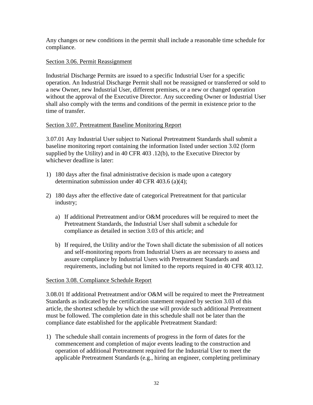Any changes or new conditions in the permit shall include a reasonable time schedule for compliance.

# Section 3.06. Permit Reassignment

Industrial Discharge Permits are issued to a specific Industrial User for a specific operation. An Industrial Discharge Permit shall not be reassigned or transferred or sold to a new Owner, new Industrial User, different premises, or a new or changed operation without the approval of the Executive Director. Any succeeding Owner or Industrial User shall also comply with the terms and conditions of the permit in existence prior to the time of transfer.

# Section 3.07. Pretreatment Baseline Monitoring Report

3.07.01 Any Industrial User subject to National Pretreatment Standards shall submit a baseline monitoring report containing the information listed under section 3.02 (form supplied by the Utility) and in 40 CFR 403 .12(b), to the Executive Director by whichever deadline is later:

- 1) 180 days after the final administrative decision is made upon a category determination submission under 40 CFR 403.6 (a)(4);
- 2) 180 days after the effective date of categorical Pretreatment for that particular industry;
	- a) If additional Pretreatment and/or O&M procedures will be required to meet the Pretreatment Standards, the Industrial User shall submit a schedule for compliance as detailed in section 3.03 of this article; and
	- b) If required, the Utility and/or the Town shall dictate the submission of all notices and self-monitoring reports from Industrial Users as are necessary to assess and assure compliance by Industrial Users with Pretreatment Standards and requirements, including but not limited to the reports required in 40 CFR 403.12.

#### Section 3.08. Compliance Schedule Report

3.08.01 If additional Pretreatment and/or O&M will be required to meet the Pretreatment Standards as indicated by the certification statement required by section 3.03 of this article, the shortest schedule by which the use will provide such additional Pretreatment must be followed. The completion date in this schedule shall not be later than the compliance date established for the applicable Pretreatment Standard:

1) The schedule shall contain increments of progress in the form of dates for the commencement and completion of major events leading to the construction and operation of additional Pretreatment required for the Industrial User to meet the applicable Pretreatment Standards (e.g., hiring an engineer, completing preliminary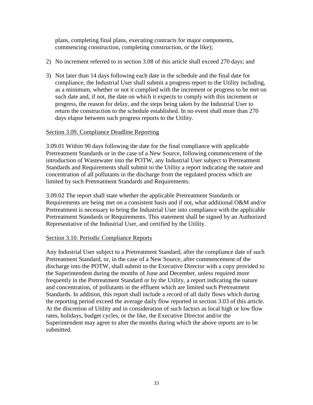plans, completing final plans, executing contracts for major components, commencing construction, completing construction, or the like);

- 2) No increment referred to in section 3.08 of this article shall exceed 270 days; and
- 3) Not later than 14 days following each date in the schedule and the final date for compliance, the Industrial User shall submit a progress report to the Utility including, as a minimum, whether or not it complied with the increment or progress to be met on such date and, if not, the date on which it expects to comply with this increment or progress, the reason for delay, and the steps being taken by the Industrial User to return the construction to the schedule established. In no event shall more than 270 days elapse between such progress reports to the Utility.

# Section 3.09. Compliance Deadline Reporting

3.09.01 Within 90 days following the date for the final compliance with applicable Pretreatment Standards or in the case of a New Source, following commencement of the introduction of Wastewater into the POTW, any Industrial User subject to Pretreatment Standards and Requirements shall submit to the Utility a report indicating the nature and concentration of all pollutants in the discharge from the regulated process which are limited by such Pretreatment Standards and Requirements.

3.09.02 The report shall state whether the applicable Pretreatment Standards or Requirements are being met on a consistent basis and if not, what additional O&M and/or Pretreatment is necessary to bring the Industrial User into compliance with the applicable Pretreatment Standards or Requirements. This statement shall be signed by an Authorized Representative of the Industrial User, and certified by the Utility.

#### Section 3.10. Periodic Compliance Reports

Any Industrial User subject to a Pretreatment Standard, after the compliance date of such Pretreatment Standard, or, in the case of a New Source, after commencement of the discharge into the POTW, shall submit to the Executive Director with a copy provided to the Superintendent during the months of June and December, unless required more frequently in the Pretreatment Standard or by the Utility, a report indicating the nature and concentration, of pollutants in the effluent which are limited such Pretreatment Standards. In addition, this report shall include a record of all daily flows which during the reporting period exceed the average daily flow reported in section 3.03 of this article. At the discretion of Utility and in consideration of such factors as local high or low flow rates, holidays, budget cycles, or the like, the Executive Director and/or the Superintendent may agree to alter the months during which the above reports are to be submitted.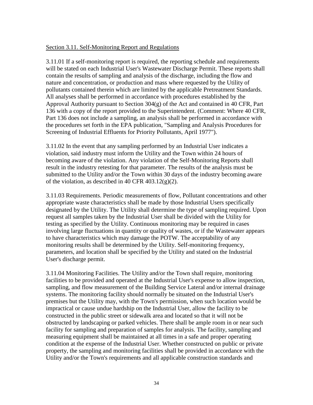#### Section 3.11. Self-Monitoring Report and Regulations

3.11.01 If a self-monitoring report is required, the reporting schedule and requirements will be stated on each Industrial User's Wastewater Discharge Permit. These reports shall contain the results of sampling and analysis of the discharge, including the flow and nature and concentration, or production and mass where requested by the Utility of pollutants contained therein which are limited by the applicable Pretreatment Standards. All analyses shall be performed in accordance with procedures established by the Approval Authority pursuant to Section 304(g) of the Act and contained in 40 CFR, Part 136 with a copy of the report provided to the Superintendent. (Comment: Where 40 CFR, Part 136 does not include a sampling, an analysis shall be performed in accordance with the procedures set forth in the EPA publication, "Sampling and Analysis Procedures for Screening of Industrial Effluents for Priority Pollutants, April 1977").

3.11.02 In the event that any sampling performed by an Industrial User indicates a violation, said industry must inform the Utility and the Town within 24 hours of becoming aware of the violation. Any violation of the Self-Monitoring Reports shall result in the industry retesting for that parameter. The results of the analysis must be submitted to the Utility and/or the Town within 30 days of the industry becoming aware of the violation, as described in 40 CFR 403.12(g)(2).

3.11.03 Requirements. Periodic measurements of flow, Pollutant concentrations and other appropriate waste characteristics shall be made by those Industrial Users specifically designated by the Utility. The Utility shall determine the type of sampling required. Upon request all samples taken by the Industrial User shall be divided with the Utility for testing as specified by the Utility. Continuous monitoring may be required in cases involving large fluctuations in quantity or quality of wastes, or if the Wastewater appears to have characteristics which may damage the POTW. The acceptability of any monitoring results shall be determined by the Utility. Self-monitoring frequency, parameters, and location shall be specified by the Utility and stated on the Industrial User's discharge permit.

3.11.04 Monitoring Facilities. The Utility and/or the Town shall require, monitoring facilities to be provided and operated at the Industrial User's expense to allow inspection, sampling, and flow measurement of the Building Service Lateral and/or internal drainage systems. The monitoring facility should normally be situated on the Industrial User's premises but the Utility may, with the Town's permission, when such location would be impractical or cause undue hardship on the Industrial User, allow the facility to be constructed in the public street or sidewalk area and located so that it will not be obstructed by landscaping or parked vehicles. There shall be ample room in or near such facility for sampling and preparation of samples for analysis. The facility, sampling and measuring equipment shall be maintained at all times in a safe and proper operating condition at the expense of the Industrial User. Whether constructed on public or private property, the sampling and monitoring facilities shall be provided in accordance with the Utility and/or the Town's requirements and all applicable construction standards and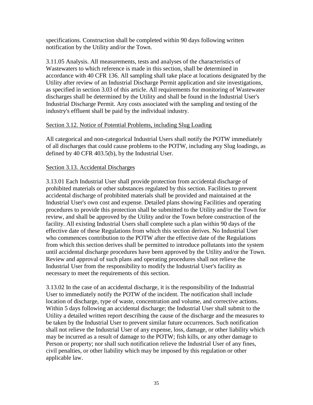specifications. Construction shall be completed within 90 days following written notification by the Utility and/or the Town.

3.11.05 Analysis. All measurements, tests and analyses of the characteristics of Wastewaters to which reference is made in this section, shall be determined in accordance with 40 CFR 136. All sampling shall take place at locations designated by the Utility after review of an Industrial Discharge Permit application and site investigations, as specified in section 3.03 of this article. All requirements for monitoring of Wastewater discharges shall be determined by the Utility and shall be found in the Industrial User's Industrial Discharge Permit. Any costs associated with the sampling and testing of the industry's effluent shall be paid by the individual industry.

# Section 3.12. Notice of Potential Problems, including Slug Loading

All categorical and non-categorical Industrial Users shall notify the POTW immediately of all discharges that could cause problems to the POTW, including any Slug loadings, as defined by 40 CFR 403.5(b), by the Industrial User.

# Section 3.13. Accidental Discharges

3.13.01 Each Industrial User shall provide protection from accidental discharge of prohibited materials or other substances regulated by this section. Facilities to prevent accidental discharge of prohibited materials shall be provided and maintained at the Industrial User's own cost and expense. Detailed plans showing Facilities and operating procedures to provide this protection shall be submitted to the Utility and/or the Town for review, and shall be approved by the Utility and/or the Town before construction of the facility. All existing Industrial Users shall complete such a plan within 90 days of the effective date of these Regulations from which this section derives. No Industrial User who commences contribution to the POTW after the effective date of the Regulations from which this section derives shall be permitted to introduce pollutants into the system until accidental discharge procedures have been approved by the Utility and/or the Town. Review and approval of such plans and operating procedures shall not relieve the Industrial User from the responsibility to modify the Industrial User's facility as necessary to meet the requirements of this section.

3.13.02 In the case of an accidental discharge, it is the responsibility of the Industrial User to immediately notify the POTW of the incident. The notification shall include location of discharge, type of waste, concentration and volume, and corrective actions. Within 5 days following an accidental discharge; the Industrial User shall submit to the Utility a detailed written report describing the cause of the discharge and the measures to be taken by the Industrial User to prevent similar future occurrences. Such notification shall not relieve the Industrial User of any expense, loss, damage, or other liability which may be incurred as a result of damage to the POTW; fish kills, or any other damage to Person or property; nor shall such notification relieve the Industrial User of any fines, civil penalties, or other liability which may be imposed by this regulation or other applicable law.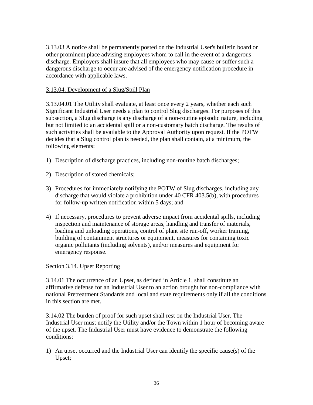3.13.03 A notice shall be permanently posted on the Industrial User's bulletin board or other prominent place advising employees whom to call in the event of a dangerous discharge. Employers shall insure that all employees who may cause or suffer such a dangerous discharge to occur are advised of the emergency notification procedure in accordance with applicable laws.

# 3.13.04. Development of a Slug/Spill Plan

3.13.04.01 The Utility shall evaluate, at least once every 2 years, whether each such Significant Industrial User needs a plan to control Slug discharges. For purposes of this subsection, a Slug discharge is any discharge of a non-routine episodic nature, including but not limited to an accidental spill or a non-customary batch discharge. The results of such activities shall be available to the Approval Authority upon request. If the POTW decides that a Slug control plan is needed, the plan shall contain, at a minimum, the following elements:

- 1) Description of discharge practices, including non-routine batch discharges;
- 2) Description of stored chemicals;
- 3) Procedures for immediately notifying the POTW of Slug discharges, including any discharge that would violate a prohibition under 40 CFR 403.5(b), with procedures for follow-up written notification within 5 days; and
- 4) If necessary, procedures to prevent adverse impact from accidental spills, including inspection and maintenance of storage areas, handling and transfer of materials, loading and unloading operations, control of plant site run-off, worker training, building of containment structures or equipment, measures for containing toxic organic pollutants (including solvents), and/or measures and equipment for emergency response.

#### Section 3.14. Upset Reporting

3.14.01 The occurrence of an Upset, as defined in Article 1, shall constitute an affirmative defense for an Industrial User to an action brought for non-compliance with national Pretreatment Standards and local and state requirements only if all the conditions in this section are met.

3.14.02 The burden of proof for such upset shall rest on the Industrial User. The Industrial User must notify the Utility and/or the Town within 1 hour of becoming aware of the upset. The Industrial User must have evidence to demonstrate the following conditions:

1) An upset occurred and the Industrial User can identify the specific cause(s) of the Upset;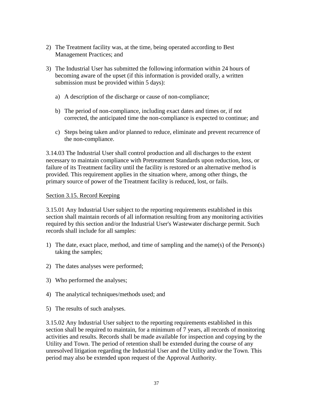- 2) The Treatment facility was, at the time, being operated according to Best Management Practices; and
- 3) The Industrial User has submitted the following information within 24 hours of becoming aware of the upset (if this information is provided orally, a written submission must be provided within 5 days):
	- a) A description of the discharge or cause of non-compliance;
	- b) The period of non-compliance, including exact dates and times or, if not corrected, the anticipated time the non-compliance is expected to continue; and
	- c) Steps being taken and/or planned to reduce, eliminate and prevent recurrence of the non-compliance.

3.14.03 The Industrial User shall control production and all discharges to the extent necessary to maintain compliance with Pretreatment Standards upon reduction, loss, or failure of its Treatment facility until the facility is restored or an alternative method is provided. This requirement applies in the situation where, among other things, the primary source of power of the Treatment facility is reduced, lost, or fails.

# Section 3.15. Record Keeping

3.15.01 Any Industrial User subject to the reporting requirements established in this section shall maintain records of all information resulting from any monitoring activities required by this section and/or the Industrial User's Wastewater discharge permit. Such records shall include for all samples:

- 1) The date, exact place, method, and time of sampling and the name(s) of the Person(s) taking the samples;
- 2) The dates analyses were performed;
- 3) Who performed the analyses;
- 4) The analytical techniques/methods used; and
- 5) The results of such analyses.

3.15.02 Any Industrial User subject to the reporting requirements established in this section shall be required to maintain, for a minimum of 7 years, all records of monitoring activities and results. Records shall be made available for inspection and copying by the Utility and Town. The period of retention shall be extended during the course of any unresolved litigation regarding the Industrial User and the Utility and/or the Town. This period may also be extended upon request of the Approval Authority.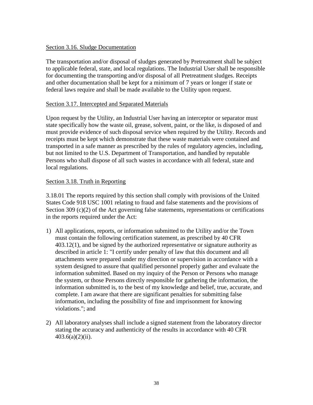# Section 3.16. Sludge Documentation

The transportation and/or disposal of sludges generated by Pretreatment shall be subject to applicable federal, state, and local regulations. The Industrial User shall be responsible for documenting the transporting and/or disposal of all Pretreatment sludges. Receipts and other documentation shall be kept for a minimum of 7 years or longer if state or federal laws require and shall be made available to the Utility upon request.

# Section 3.17. Intercepted and Separated Materials

Upon request by the Utility, an Industrial User having an interceptor or separator must state specifically how the waste oil, grease, solvent, paint, or the like, is disposed of and must provide evidence of such disposal service when required by the Utility. Records and receipts must be kept which demonstrate that these waste materials were contained and transported in a safe manner as prescribed by the rules of regulatory agencies, including, but not limited to the U.S. Department of Transportation, and handled by reputable Persons who shall dispose of all such wastes in accordance with all federal, state and local regulations.

# Section 3.18. Truth in Reporting

3.18.01 The reports required by this section shall comply with provisions of the United States Code 918 USC 1001 relating to fraud and false statements and the provisions of Section 309  $(c)(2)$  of the Act governing false statements, representations or certifications in the reports required under the Act:

- 1) All applications, reports, or information submitted to the Utility and/or the Town must contain the following certification statement, as prescribed by 40 CFR 403.12(1), and be signed by the authorized representative or signature authority as described in article 1: "I certify under penalty of law that this document and all attachments were prepared under my direction or supervision in accordance with a system designed to assure that qualified personnel properly gather and evaluate the information submitted. Based on my inquiry of the Person or Persons who manage the system, or those Persons directly responsible for gathering the information, the information submitted is, to the best of my knowledge and belief, true, accurate, and complete. I am aware that there are significant penalties for submitting false information, including the possibility of fine and imprisonment for knowing violations."; and
- 2) All laboratory analyses shall include a signed statement from the laboratory director stating the accuracy and authenticity of the results in accordance with 40 CFR  $403.6(a)(2)(ii)$ .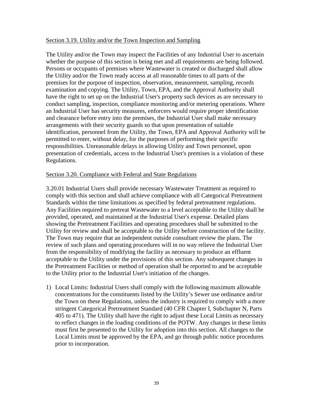#### Section 3.19. Utility and/or the Town Inspection and Sampling

The Utility and/or the Town may inspect the Facilities of any Industrial User to ascertain whether the purpose of this section is being met and all requirements are being followed. Persons or occupants of premises where Wastewater is created or discharged shall allow the Utility and/or the Town ready access at all reasonable times to all parts of the premises for the purpose of inspection, observation, measurement, sampling, records examination and copying. The Utility, Town, EPA, and the Approval Authority shall have the right to set up on the Industrial User's property such devices as are necessary to conduct sampling, inspection, compliance monitoring and/or metering operations. Where an Industrial User has security measures, enforcers would require proper identification and clearance before entry into the premises, the Industrial User shall make necessary arrangements with their security guards so that upon presentation of suitable identification, personnel from the Utility, the Town, EPA and Approval Authority will be permitted to enter, without delay, for the purposes of performing their specific responsibilities. Unreasonable delays in allowing Utility and Town personnel, upon presentation of credentials, access to the Industrial User's premises is a violation of these Regulations.

#### Section 3.20. Compliance with Federal and State Regulations

3.20.01 Industrial Users shall provide necessary Wastewater Treatment as required to comply with this section and shall achieve compliance with all Categorical Pretreatment Standards within the time limitations as specified by federal pretreatment regulations. Any Facilities required to pretreat Wastewater to a level acceptable to the Utility shall be provided, operated, and maintained at the Industrial User's expense. Detailed plans showing the Pretreatment Facilities and operating procedures shall be submitted to the Utility for review and shall be acceptable to the Utility before construction of the facility. The Town may require that an independent outside consultant review the plans. The review of such plans and operating procedures will in no way relieve the Industrial User from the responsibility of modifying the facility as necessary to produce an effluent acceptable to the Utility under the provisions of this section. Any subsequent changes in the Pretreatment Facilities or method of operation shall be reported to and be acceptable to the Utility prior to the Industrial User's initiation of the changes.

1) Local Limits: Industrial Users shall comply with the following maximum allowable concentrations for the constituents listed by the Utility's Sewer use ordinance and/or the Town on these Regulations, unless the industry is required to comply with a more stringent Categorical Pretreatment Standard (40 CFR Chapter I, Subchapter N, Parts 405 to 471). The Utility shall have the right to adjust these Local Limits as necessary to reflect changes in the loading conditions of the POTW. Any changes in these limits must first be presented to the Utility for adoption into this section. All changes to the Local Limits must be approved by the EPA, and go through public notice procedures prior to incorporation.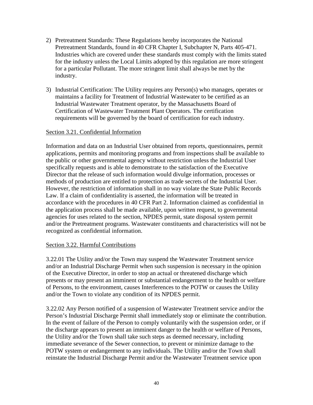- 2) Pretreatment Standards: These Regulations hereby incorporates the National Pretreatment Standards, found in 40 CFR Chapter I, Subchapter N, Parts 405-471. Industries which are covered under these standards must comply with the limits stated for the industry unless the Local Limits adopted by this regulation are more stringent for a particular Pollutant. The more stringent limit shall always be met by the industry.
- 3) Industrial Certification: The Utility requires any Person(s) who manages, operates or maintains a facility for Treatment of Industrial Wastewater to be certified as an Industrial Wastewater Treatment operator, by the Massachusetts Board of Certification of Wastewater Treatment Plant Operators. The certification requirements will be governed by the board of certification for each industry.

# Section 3.21. Confidential Information

Information and data on an Industrial User obtained from reports, questionnaires, permit applications, permits and monitoring programs and from inspections shall be available to the public or other governmental agency without restriction unless the Industrial User specifically requests and is able to demonstrate to the satisfaction of the Executive Director that the release of such information would divulge information, processes or methods of production are entitled to protection as trade secrets of the Industrial User. However, the restriction of information shall in no way violate the State Public Records Law. If a claim of confidentiality is asserted, the information will be treated in accordance with the procedures in 40 CFR Part 2. Information claimed as confidential in the application process shall be made available, upon written request, to governmental agencies for uses related to the section, NPDES permit, state disposal system permit and/or the Pretreatment programs. Wastewater constituents and characteristics will not be recognized as confidential information.

#### Section 3.22. Harmful Contributions

3.22.01 The Utility and/or the Town may suspend the Wastewater Treatment service and/or an Industrial Discharge Permit when such suspension is necessary in the opinion of the Executive Director, in order to stop an actual or threatened discharge which presents or may present an imminent or substantial endangerment to the health or welfare of Persons, to the environment, causes Interferences to the POTW or causes the Utility and/or the Town to violate any condition of its NPDES permit.

3.22.02 Any Person notified of a suspension of Wastewater Treatment service and/or the Person's Industrial Discharge Permit shall immediately stop or eliminate the contribution. In the event of failure of the Person to comply voluntarily with the suspension order, or if the discharge appears to present an imminent danger to the health or welfare of Persons, the Utility and/or the Town shall take such steps as deemed necessary, including immediate severance of the Sewer connection, to prevent or minimize damage to the POTW system or endangerment to any individuals. The Utility and/or the Town shall reinstate the Industrial Discharge Permit and/or the Wastewater Treatment service upon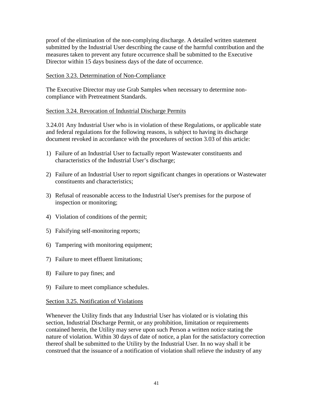proof of the elimination of the non-complying discharge. A detailed written statement submitted by the Industrial User describing the cause of the harmful contribution and the measures taken to prevent any future occurrence shall be submitted to the Executive Director within 15 days business days of the date of occurrence.

# Section 3.23. Determination of Non-Compliance

The Executive Director may use Grab Samples when necessary to determine noncompliance with Pretreatment Standards.

# Section 3.24. Revocation of Industrial Discharge Permits

3.24.01 Any Industrial User who is in violation of these Regulations, or applicable state and federal regulations for the following reasons, is subject to having its discharge document revoked in accordance with the procedures of section 3.03 of this article:

- 1) Failure of an Industrial User to factually report Wastewater constituents and characteristics of the Industrial User's discharge;
- 2) Failure of an Industrial User to report significant changes in operations or Wastewater constituents and characteristics;
- 3) Refusal of reasonable access to the Industrial User's premises for the purpose of inspection or monitoring;
- 4) Violation of conditions of the permit;
- 5) Falsifying self-monitoring reports;
- 6) Tampering with monitoring equipment;
- 7) Failure to meet effluent limitations;
- 8) Failure to pay fines; and
- 9) Failure to meet compliance schedules.

#### Section 3.25. Notification of Violations

Whenever the Utility finds that any Industrial User has violated or is violating this section, Industrial Discharge Permit, or any prohibition, limitation or requirements contained herein, the Utility may serve upon such Person a written notice stating the nature of violation. Within 30 days of date of notice, a plan for the satisfactory correction thereof shall be submitted to the Utility by the Industrial User. In no way shall it be construed that the issuance of a notification of violation shall relieve the industry of any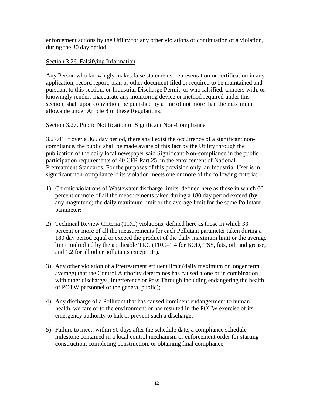enforcement actions by the Utility for any other violations or continuation of a violation, during the 30 day period.

# Section 3.26. Falsifying Information

Any Person who knowingly makes false statements, representation or certification in any application, record report, plan or other document filed or required to be maintained and pursuant to this section, or Industrial Discharge Permit, or who falsified, tampers with, or knowingly renders inaccurate any monitoring device or method required under this section, shall upon conviction, be punished by a fine of not more than the maximum allowable under Article 8 of these Regulations.

# Section 3.27. Public Notification of Significant Non-Compliance

3.27.01 If over a 365 day period, there shall exist the occurrence of a significant noncompliance, the public shall be made aware of this fact by the Utility through the publication of the daily local newspaper said Significant Non-compliance in the public participation requirements of 40 CFR Part 25, in the enforcement of National Pretreatment Standards. For the purposes of this provision only, an Industrial User is in significant non-compliance if its violation meets one or more of the following criteria:

- 1) Chronic violations of Wastewater discharge limits, defined here as those in which 66 percent or more of all the measurements taken during a 180 day period exceed (by any magnitude) the daily maximum limit or the average limit for the same Pollutant parameter;
- 2) Technical Review Criteria (TRC) violations, defined here as those in which 33 percent or more of all the measurements for each Pollutant parameter taken during a 180 day period equal or exceed the product of the daily maximum limit or the average limit multiplied by the applicable TRC (TRC=1.4 for BOD, TSS, fats, oil, and grease, and 1.2 for all other pollutants except pH).
- 3) Any other violation of a Pretreatment effluent limit (daily maximum or longer term average) that the Control Authority determines has caused alone or in combination with other discharges, Interference or Pass Through including endangering the health of POTW personnel or the general public);
- 4) Any discharge of a Pollutant that has caused imminent endangerment to human health, welfare or to the environment or has resulted in the POTW exercise of its emergency authority to halt or prevent such a discharge;
- 5) Failure to meet, within 90 days after the schedule date, a compliance schedule milestone contained in a local control mechanism or enforcement order for starting construction, completing construction, or obtaining final compliance;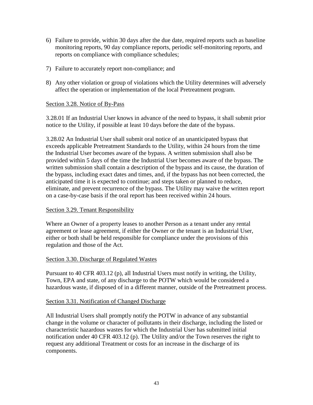- 6) Failure to provide, within 30 days after the due date, required reports such as baseline monitoring reports, 90 day compliance reports, periodic self-monitoring reports, and reports on compliance with compliance schedules;
- 7) Failure to accurately report non-compliance; and
- 8) Any other violation or group of violations which the Utility determines will adversely affect the operation or implementation of the local Pretreatment program.

# Section 3.28. Notice of By-Pass

3.28.01 If an Industrial User knows in advance of the need to bypass, it shall submit prior notice to the Utility, if possible at least 10 days before the date of the bypass.

3.28.02 An Industrial User shall submit oral notice of an unanticipated bypass that exceeds applicable Pretreatment Standards to the Utility, within 24 hours from the time the Industrial User becomes aware of the bypass. A written submission shall also be provided within 5 days of the time the Industrial User becomes aware of the bypass. The written submission shall contain a description of the bypass and its cause, the duration of the bypass, including exact dates and times, and, if the bypass has not been corrected, the anticipated time it is expected to continue; and steps taken or planned to reduce, eliminate, and prevent recurrence of the bypass. The Utility may waive the written report on a case-by-case basis if the oral report has been received within 24 hours.

# Section 3.29. Tenant Responsibility

Where an Owner of a property leases to another Person as a tenant under any rental agreement or lease agreement, if either the Owner or the tenant is an Industrial User, either or both shall be held responsible for compliance under the provisions of this regulation and those of the Act.

#### Section 3.30. Discharge of Regulated Wastes

Pursuant to 40 CFR 403.12 (p), all Industrial Users must notify in writing, the Utility, Town, EPA and state, of any discharge to the POTW which would be considered a hazardous waste, if disposed of in a different manner, outside of the Pretreatment process.

#### Section 3.31. Notification of Changed Discharge

All Industrial Users shall promptly notify the POTW in advance of any substantial change in the volume or character of pollutants in their discharge, including the listed or characteristic hazardous wastes for which the Industrial User has submitted initial notification under 40 CFR 403.12 (p). The Utility and/or the Town reserves the right to request any additional Treatment or costs for an increase in the discharge of its components.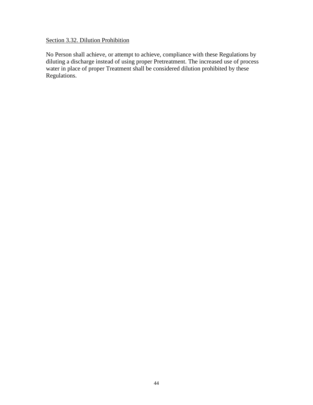# Section 3.32. Dilution Prohibition

No Person shall achieve, or attempt to achieve, compliance with these Regulations by diluting a discharge instead of using proper Pretreatment. The increased use of process water in place of proper Treatment shall be considered dilution prohibited by these Regulations.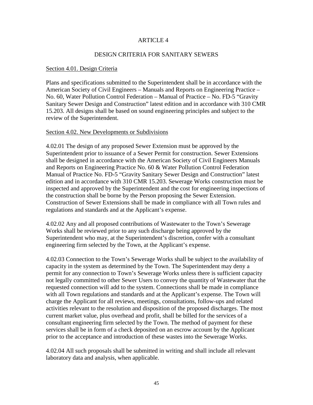#### ARTICLE 4

#### DESIGN CRITERIA FOR SANITARY SEWERS

#### Section 4.01. Design Criteria

Plans and specifications submitted to the Superintendent shall be in accordance with the American Society of Civil Engineers – Manuals and Reports on Engineering Practice – No. 60, Water Pollution Control Federation – Manual of Practice – No. FD-5 "Gravity Sanitary Sewer Design and Construction" latest edition and in accordance with 310 CMR 15.203. All designs shall be based on sound engineering principles and subject to the review of the Superintendent.

#### Section 4.02. New Developments or Subdivisions

4.02.01 The design of any proposed Sewer Extension must be approved by the Superintendent prior to issuance of a Sewer Permit for construction. Sewer Extensions shall be designed in accordance with the American Society of Civil Engineers Manuals and Reports on Engineering Practice No. 60 & Water Pollution Control Federation Manual of Practice No. FD-5 "Gravity Sanitary Sewer Design and Construction" latest edition and in accordance with 310 CMR 15.203. Sewerage Works construction must be inspected and approved by the Superintendent and the cost for engineering inspections of the construction shall be borne by the Person proposing the Sewer Extension. Construction of Sewer Extensions shall be made in compliance with all Town rules and regulations and standards and at the Applicant's expense.

4.02.02 Any and all proposed contributions of Wastewater to the Town's Sewerage Works shall be reviewed prior to any such discharge being approved by the Superintendent who may, at the Superintendent's discretion, confer with a consultant engineering firm selected by the Town, at the Applicant's expense.

4.02.03 Connection to the Town's Sewerage Works shall be subject to the availability of capacity in the system as determined by the Town. The Superintendent may deny a permit for any connection to Town's Sewerage Works unless there is sufficient capacity not legally committed to other Sewer Users to convey the quantity of Wastewater that the requested connection will add to the system. Connections shall be made in compliance with all Town regulations and standards and at the Applicant's expense. The Town will charge the Applicant for all reviews, meetings, consultations, follow-ups and related activities relevant to the resolution and disposition of the proposed discharges. The most current market value, plus overhead and profit, shall be billed for the services of a consultant engineering firm selected by the Town. The method of payment for these services shall be in form of a check deposited on an escrow account by the Applicant prior to the acceptance and introduction of these wastes into the Sewerage Works.

4.02.04 All such proposals shall be submitted in writing and shall include all relevant laboratory data and analysis, when applicable.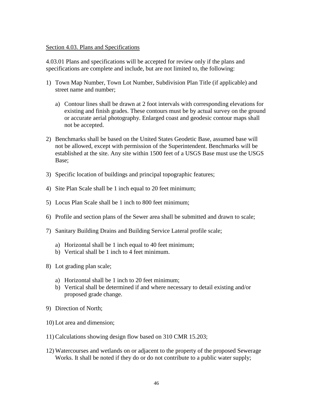#### Section 4.03. Plans and Specifications

4.03.01 Plans and specifications will be accepted for review only if the plans and specifications are complete and include, but are not limited to, the following:

- 1) Town Map Number, Town Lot Number, Subdivision Plan Title (if applicable) and street name and number;
	- a) Contour lines shall be drawn at 2 foot intervals with corresponding elevations for existing and finish grades. These contours must be by actual survey on the ground or accurate aerial photography. Enlarged coast and geodesic contour maps shall not be accepted.
- 2) Benchmarks shall be based on the United States Geodetic Base, assumed base will not be allowed, except with permission of the Superintendent. Benchmarks will be established at the site. Any site within 1500 feet of a USGS Base must use the USGS Base;
- 3) Specific location of buildings and principal topographic features;
- 4) Site Plan Scale shall be 1 inch equal to 20 feet minimum;
- 5) Locus Plan Scale shall be 1 inch to 800 feet minimum;
- 6) Profile and section plans of the Sewer area shall be submitted and drawn to scale;
- 7) Sanitary Building Drains and Building Service Lateral profile scale;
	- a) Horizontal shall be 1 inch equal to 40 feet minimum;
	- b) Vertical shall be 1 inch to 4 feet minimum.
- 8) Lot grading plan scale;
	- a) Horizontal shall be 1 inch to 20 feet minimum;
	- b) Vertical shall be determined if and where necessary to detail existing and/or proposed grade change.
- 9) Direction of North;
- 10) Lot area and dimension;
- 11) Calculations showing design flow based on 310 CMR 15.203;
- 12) Watercourses and wetlands on or adjacent to the property of the proposed Sewerage Works. It shall be noted if they do or do not contribute to a public water supply;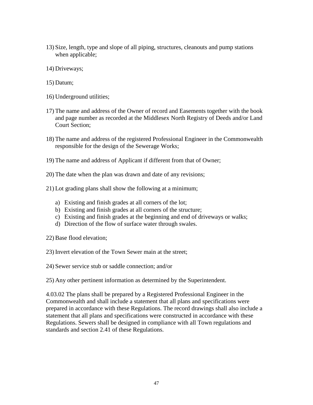- 13) Size, length, type and slope of all piping, structures, cleanouts and pump stations when applicable;
- 14) Driveways;
- 15) Datum;
- 16) Underground utilities;
- 17) The name and address of the Owner of record and Easements together with the book and page number as recorded at the Middlesex North Registry of Deeds and/or Land Court Section;
- 18) The name and address of the registered Professional Engineer in the Commonwealth responsible for the design of the Sewerage Works;
- 19) The name and address of Applicant if different from that of Owner;
- 20) The date when the plan was drawn and date of any revisions;
- 21) Lot grading plans shall show the following at a minimum;
	- a) Existing and finish grades at all corners of the lot;
	- b) Existing and finish grades at all corners of the structure;
	- c) Existing and finish grades at the beginning and end of driveways or walks;
	- d) Direction of the flow of surface water through swales.
- 22) Base flood elevation;
- 23) Invert elevation of the Town Sewer main at the street;
- 24) Sewer service stub or saddle connection; and/or

25) Any other pertinent information as determined by the Superintendent.

4.03.02 The plans shall be prepared by a Registered Professional Engineer in the Commonwealth and shall include a statement that all plans and specifications were prepared in accordance with these Regulations. The record drawings shall also include a statement that all plans and specifications were constructed in accordance with these Regulations. Sewers shall be designed in compliance with all Town regulations and standards and section 2.41 of these Regulations.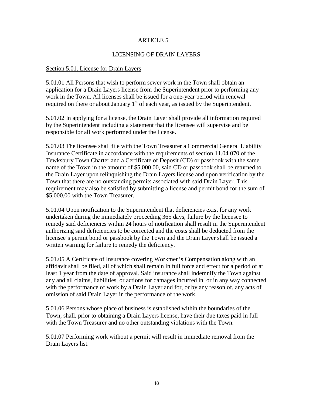## ARTICLE 5

## LICENSING OF DRAIN LAYERS

#### Section 5.01. License for Drain Layers

5.01.01 All Persons that wish to perform sewer work in the Town shall obtain an application for a Drain Layers license from the Superintendent prior to performing any work in the Town. All licenses shall be issued for a one-year period with renewal required on there or about January  $1<sup>st</sup>$  of each year, as issued by the Superintendent.

5.01.02 In applying for a license, the Drain Layer shall provide all information required by the Superintendent including a statement that the licensee will supervise and be responsible for all work performed under the license.

5.01.03 The licensee shall file with the Town Treasurer a Commercial General Liability Insurance Certificate in accordance with the requirements of section 11.04.070 of the Tewksbury Town Charter and a Certificate of Deposit (CD) or passbook with the same name of the Town in the amount of \$5,000.00, said CD or passbook shall be returned to the Drain Layer upon relinquishing the Drain Layers license and upon verification by the Town that there are no outstanding permits associated with said Drain Layer. This requirement may also be satisfied by submitting a license and permit bond for the sum of \$5,000.00 with the Town Treasurer.

5.01.04 Upon notification to the Superintendent that deficiencies exist for any work undertaken during the immediately proceeding 365 days, failure by the licensee to remedy said deficiencies within 24 hours of notification shall result in the Superintendent authorizing said deficiencies to be corrected and the costs shall be deducted from the licensee's permit bond or passbook by the Town and the Drain Layer shall be issued a written warning for failure to remedy the deficiency.

5.01.05 A Certificate of Insurance covering Workmen's Compensation along with an affidavit shall be filed, all of which shall remain in full force and effect for a period of at least 1 year from the date of approval. Said insurance shall indemnify the Town against any and all claims, liabilities, or actions for damages incurred in, or in any way connected with the performance of work by a Drain Layer and for, or by any reason of, any acts of omission of said Drain Layer in the performance of the work.

5.01.06 Persons whose place of business is established within the boundaries of the Town, shall, prior to obtaining a Drain Layers license, have their due taxes paid in full with the Town Treasurer and no other outstanding violations with the Town.

5.01.07 Performing work without a permit will result in immediate removal from the Drain Layers list.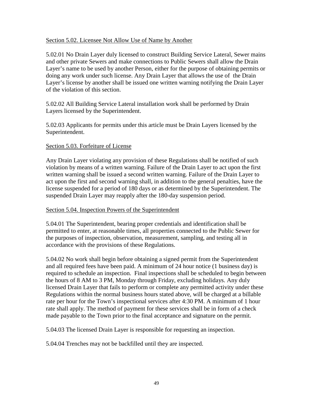#### Section 5.02. Licensee Not Allow Use of Name by Another

5.02.01 No Drain Layer duly licensed to construct Building Service Lateral, Sewer mains and other private Sewers and make connections to Public Sewers shall allow the Drain Layer's name to be used by another Person, either for the purpose of obtaining permits or doing any work under such license. Any Drain Layer that allows the use of the Drain Layer's license by another shall be issued one written warning notifying the Drain Layer of the violation of this section.

5.02.02 All Building Service Lateral installation work shall be performed by Drain Layers licensed by the Superintendent.

5.02.03 Applicants for permits under this article must be Drain Layers licensed by the Superintendent.

# Section 5.03. Forfeiture of License

Any Drain Layer violating any provision of these Regulations shall be notified of such violation by means of a written warning. Failure of the Drain Layer to act upon the first written warning shall be issued a second written warning. Failure of the Drain Layer to act upon the first and second warning shall, in addition to the general penalties, have the license suspended for a period of 180 days or as determined by the Superintendent. The suspended Drain Layer may reapply after the 180-day suspension period.

#### Section 5.04. Inspection Powers of the Superintendent

5.04.01 The Superintendent, bearing proper credentials and identification shall be permitted to enter, at reasonable times, all properties connected to the Public Sewer for the purposes of inspection, observation, measurement, sampling, and testing all in accordance with the provisions of these Regulations.

5.04.02 No work shall begin before obtaining a signed permit from the Superintendent and all required fees have been paid. A minimum of 24 hour notice (1 business day) is required to schedule an inspection. Final inspections shall be scheduled to begin between the hours of 8 AM to 3 PM, Monday through Friday, excluding holidays. Any duly licensed Drain Layer that fails to perform or complete any permitted activity under these Regulations within the normal business hours stated above, will be charged at a billable rate per hour for the Town's inspectional services after 4:30 PM. A minimum of 1 hour rate shall apply. The method of payment for these services shall be in form of a check made payable to the Town prior to the final acceptance and signature on the permit.

5.04.03 The licensed Drain Layer is responsible for requesting an inspection.

5.04.04 Trenches may not be backfilled until they are inspected.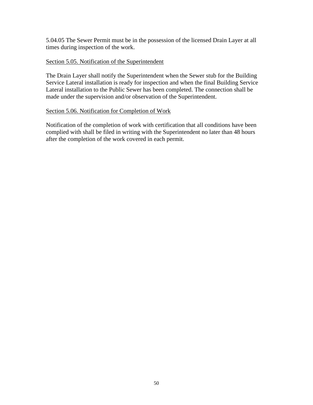5.04.05 The Sewer Permit must be in the possession of the licensed Drain Layer at all times during inspection of the work.

## Section 5.05. Notification of the Superintendent

The Drain Layer shall notify the Superintendent when the Sewer stub for the Building Service Lateral installation is ready for inspection and when the final Building Service Lateral installation to the Public Sewer has been completed. The connection shall be made under the supervision and/or observation of the Superintendent.

#### Section 5.06. Notification for Completion of Work

Notification of the completion of work with certification that all conditions have been complied with shall be filed in writing with the Superintendent no later than 48 hours after the completion of the work covered in each permit.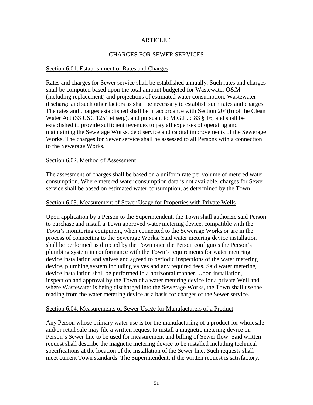# ARTICLE 6

## CHARGES FOR SEWER SERVICES

#### Section 6.01. Establishment of Rates and Charges

Rates and charges for Sewer service shall be established annually. Such rates and charges shall be computed based upon the total amount budgeted for Wastewater O&M (including replacement) and projections of estimated water consumption, Wastewater discharge and such other factors as shall be necessary to establish such rates and charges. The rates and charges established shall be in accordance with Section 204(b) of the Clean Water Act (33 USC 1251 et seq.), and pursuant to M.G.L. c.83 § 16, and shall be established to provide sufficient revenues to pay all expenses of operating and maintaining the Sewerage Works, debt service and capital improvements of the Sewerage Works. The charges for Sewer service shall be assessed to all Persons with a connection to the Sewerage Works.

#### Section 6.02. Method of Assessment

The assessment of charges shall be based on a uniform rate per volume of metered water consumption. Where metered water consumption data is not available, charges for Sewer service shall be based on estimated water consumption, as determined by the Town.

#### Section 6.03. Measurement of Sewer Usage for Properties with Private Wells

Upon application by a Person to the Superintendent, the Town shall authorize said Person to purchase and install a Town approved water metering device, compatible with the Town's monitoring equipment, when connected to the Sewerage Works or are in the process of connecting to the Sewerage Works. Said water metering device installation shall be performed as directed by the Town once the Person configures the Person's plumbing system in conformance with the Town's requirements for water metering device installation and valves and agreed to periodic inspections of the water metering device, plumbing system including valves and any required fees. Said water metering device installation shall be performed in a horizontal manner. Upon installation, inspection and approval by the Town of a water metering device for a private Well and where Wastewater is being discharged into the Sewerage Works, the Town shall use the reading from the water metering device as a basis for charges of the Sewer service.

#### Section 6.04. Measurements of Sewer Usage for Manufacturers of a Product

Any Person whose primary water use is for the manufacturing of a product for wholesale and/or retail sale may file a written request to install a magnetic metering device on Person's Sewer line to be used for measurement and billing of Sewer flow. Said written request shall describe the magnetic metering device to be installed including technical specifications at the location of the installation of the Sewer line. Such requests shall meet current Town standards. The Superintendent, if the written request is satisfactory,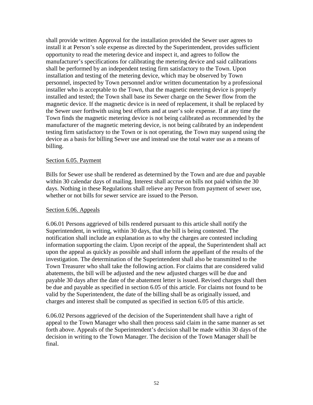shall provide written Approval for the installation provided the Sewer user agrees to install it at Person's sole expense as directed by the Superintendent, provides sufficient opportunity to read the metering device and inspect it, and agrees to follow the manufacturer's specifications for calibrating the metering device and said calibrations shall be performed by an independent testing firm satisfactory to the Town. Upon installation and testing of the metering device, which may be observed by Town personnel, inspected by Town personnel and/or written documentation by a professional installer who is acceptable to the Town, that the magnetic metering device is properly installed and tested; the Town shall base its Sewer charge on the Sewer flow from the magnetic device. If the magnetic device is in need of replacement, it shall be replaced by the Sewer user forthwith using best efforts and at user's sole expense. If at any time the Town finds the magnetic metering device is not being calibrated as recommended by the manufacturer of the magnetic metering device, is not being calibrated by an independent testing firm satisfactory to the Town or is not operating, the Town may suspend using the device as a basis for billing Sewer use and instead use the total water use as a means of billing.

#### Section 6.05. Payment

Bills for Sewer use shall be rendered as determined by the Town and are due and payable within 30 calendar days of mailing. Interest shall accrue on bills not paid within the 30 days. Nothing in these Regulations shall relieve any Person from payment of sewer use, whether or not bills for sewer service are issued to the Person.

#### Section 6.06. Appeals

6.06.01 Persons aggrieved of bills rendered pursuant to this article shall notify the Superintendent, in writing, within 30 days, that the bill is being contested. The notification shall include an explanation as to why the charges are contested including information supporting the claim. Upon receipt of the appeal, the Superintendent shall act upon the appeal as quickly as possible and shall inform the appellant of the results of the investigation. The determination of the Superintendent shall also be transmitted to the Town Treasurer who shall take the following action. For claims that are considered valid abatements, the bill will be adjusted and the new adjusted charges will be due and payable 30 days after the date of the abatement letter is issued. Revised charges shall then be due and payable as specified in section 6.05 of this article. For claims not found to be valid by the Superintendent, the date of the billing shall be as originally issued, and charges and interest shall be computed as specified in section 6.05 of this article.

6.06.02 Persons aggrieved of the decision of the Superintendent shall have a right of appeal to the Town Manager who shall then process said claim in the same manner as set forth above. Appeals of the Superintendent's decision shall be made within 30 days of the decision in writing to the Town Manager. The decision of the Town Manager shall be final.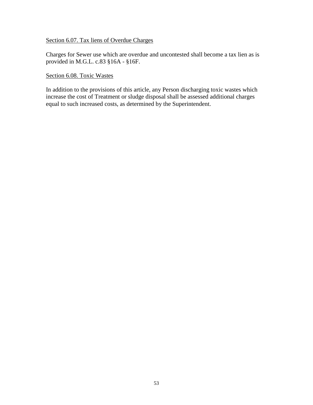# Section 6.07. Tax liens of Overdue Charges

Charges for Sewer use which are overdue and uncontested shall become a tax lien as is provided in M.G.L. c.83 §16A - §16F.

Section 6.08. Toxic Wastes

In addition to the provisions of this article, any Person discharging toxic wastes which increase the cost of Treatment or sludge disposal shall be assessed additional charges equal to such increased costs, as determined by the Superintendent.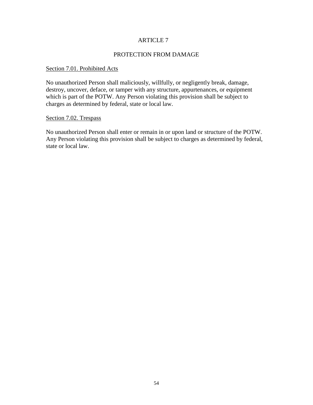## ARTICLE 7

#### PROTECTION FROM DAMAGE

# Section 7.01. Prohibited Acts

No unauthorized Person shall maliciously, willfully, or negligently break, damage, destroy, uncover, deface, or tamper with any structure, appurtenances, or equipment which is part of the POTW. Any Person violating this provision shall be subject to charges as determined by federal, state or local law.

#### Section 7.02. Trespass

No unauthorized Person shall enter or remain in or upon land or structure of the POTW. Any Person violating this provision shall be subject to charges as determined by federal, state or local law.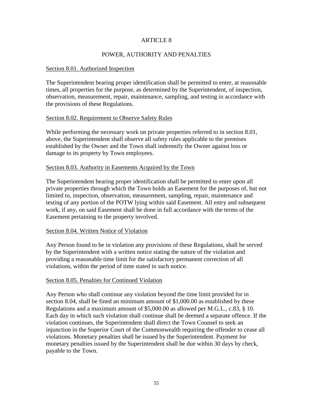# ARTICLE 8

# POWER, AUTHORITY AND PENALTIES

#### Section 8.01. Authorized Inspection

The Superintendent bearing proper identification shall be permitted to enter, at reasonable times, all properties for the purpose, as determined by the Superintendent, of inspection, observation, measurement, repair, maintenance, sampling, and testing in accordance with the provisions of these Regulations.

#### Section 8.02. Requirement to Observe Safety Rules

While performing the necessary work on private properties referred to in section 8.01, above, the Superintendent shall observe all safety rules applicable to the premises established by the Owner and the Town shall indemnify the Owner against loss or damage to its property by Town employees.

#### Section 8.03. Authority in Easements Acquired by the Town

The Superintendent bearing proper identification shall be permitted to enter upon all private properties through which the Town holds an Easement for the purposes of, but not limited to, inspection, observation, measurement, sampling, repair, maintenance and testing of any portion of the POTW lying within said Easement. All entry and subsequent work, if any, on said Easement shall be done in full accordance with the terms of the Easement pertaining to the property involved.

#### Section 8.04. Written Notice of Violation

Any Person found to be in violation any provisions of these Regulations, shall be served by the Superintendent with a written notice stating the nature of the violation and providing a reasonable time limit for the satisfactory permanent correction of all violations, within the period of time stated in such notice.

#### Section 8.05. Penalties for Continued Violation

Any Person who shall continue any violation beyond the time limit provided for in section 8.04, shall be fined an minimum amount of \$1,000.00 as established by these Regulations and a maximum amount of \$5,000.00 as allowed per M.G.L., c.83, § 10. Each day in which such violation shall continue shall be deemed a separate offence. If the violation continues, the Superintendent shall direct the Town Counsel to seek an injunction in the Superior Court of the Commonwealth requiring the offender to cease all violations. Monetary penalties shall be issued by the Superintendent. Payment for monetary penalties issued by the Superintendent shall be due within 30 days by check, payable to the Town.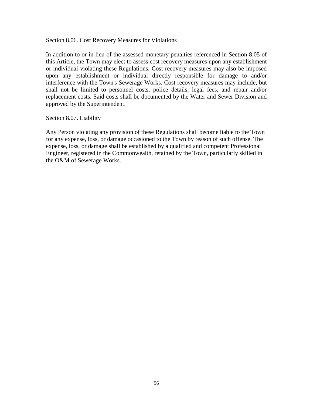#### Section 8.06. Cost Recovery Measures for Violations

In addition to or in lieu of the assessed monetary penalties referenced in Section 8.05 of this Article, the Town may elect to assess cost recovery measures upon any establishment or individual violating these Regulations. Cost recovery measures may also be imposed upon any establishment or individual directly responsible for damage to and/or interference with the Town's Sewerage Works. Cost recovery measures may include, but shall not be limited to personnel costs, police details, legal fees, and repair and/or replacement costs. Said costs shall be documented by the Water and Sewer Division and approved by the Superintendent.

#### Section 8.07. Liability

Any Person violating any provision of these Regulations shall become liable to the Town for any expense, loss, or damage occasioned to the Town by reason of such offense. The expense, loss, or damage shall be established by a qualified and competent Professional Engineer, registered in the Commonwealth, retained by the Town, particularly skilled in the O&M of Sewerage Works.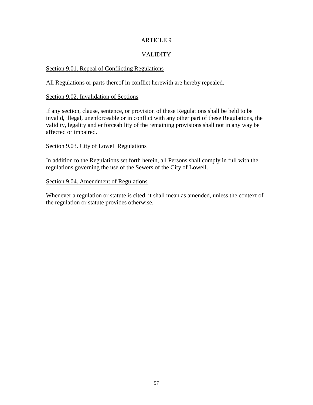# ARTICLE 9

# VALIDITY

#### Section 9.01. Repeal of Conflicting Regulations

All Regulations or parts thereof in conflict herewith are hereby repealed.

#### Section 9.02. Invalidation of Sections

If any section, clause, sentence, or provision of these Regulations shall be held to be invalid, illegal, unenforceable or in conflict with any other part of these Regulations, the validity, legality and enforceability of the remaining provisions shall not in any way be affected or impaired.

#### Section 9.03. City of Lowell Regulations

In addition to the Regulations set forth herein, all Persons shall comply in full with the regulations governing the use of the Sewers of the City of Lowell.

#### Section 9.04. Amendment of Regulations

Whenever a regulation or statute is cited, it shall mean as amended, unless the context of the regulation or statute provides otherwise.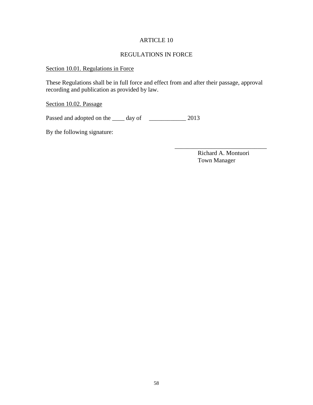# ARTICLE 10

# REGULATIONS IN FORCE

# Section 10.01. Regulations in Force

These Regulations shall be in full force and effect from and after their passage, approval recording and publication as provided by law.

# Section 10.02. Passage

Passed and adopted on the \_\_\_\_\_ day of \_\_\_\_\_\_\_\_\_\_\_\_\_ 2013

By the following signature:

 Richard A. Montuori Town Manager

\_\_\_\_\_\_\_\_\_\_\_\_\_\_\_\_\_\_\_\_\_\_\_\_\_\_\_\_\_\_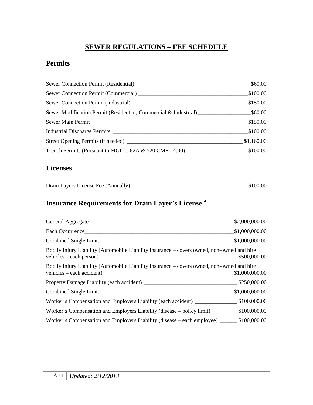# **SEWER REGULATIONS – FEE SCHEDULE**

# **Permits**

|                                                                  | \$60.00    |
|------------------------------------------------------------------|------------|
|                                                                  | \$100.00   |
|                                                                  | \$150.00   |
| Sewer Modification Permit (Residential, Commercial & Industrial) | \$60.00    |
| Sewer Main Permit                                                | \$150.00   |
|                                                                  | \$100.00   |
|                                                                  | \$1,160.00 |
| Trench Permits (Pursuant to MGL c. 82A & 520 CMR 14.00)          | \$100.00   |

# **Licenses**

| Drain Layers License Fee (Annually) | \$100.00 |
|-------------------------------------|----------|
|                                     |          |

# **Insurance Requirements for Drain Layer's License <sup>a</sup>**

|                                                                                                                                                                            | \$2,000,000.00 |
|----------------------------------------------------------------------------------------------------------------------------------------------------------------------------|----------------|
| Each Occurrence                                                                                                                                                            | \$1,000,000.00 |
|                                                                                                                                                                            | \$1,000,000.00 |
| Bodily Injury Liability (Automobile Liability Insurance – covers owned, non-owned and hire                                                                                 |                |
| Bodily Injury Liability (Automobile Liability Insurance – covers owned, non-owned and hire<br>vehicles – each accident) $\frac{1}{\sqrt{1-\frac{1}{2}} \cdot \frac{1}{2}}$ | \$1,000,000.00 |
|                                                                                                                                                                            |                |
|                                                                                                                                                                            | \$1,000,000.00 |
|                                                                                                                                                                            |                |
| Worker's Compensation and Employers Liability (disease – policy limit) __________ \$100,000.00                                                                             |                |
| Worker's Compensation and Employers Liability (disease – each employee) _________ \$100,000.00                                                                             |                |